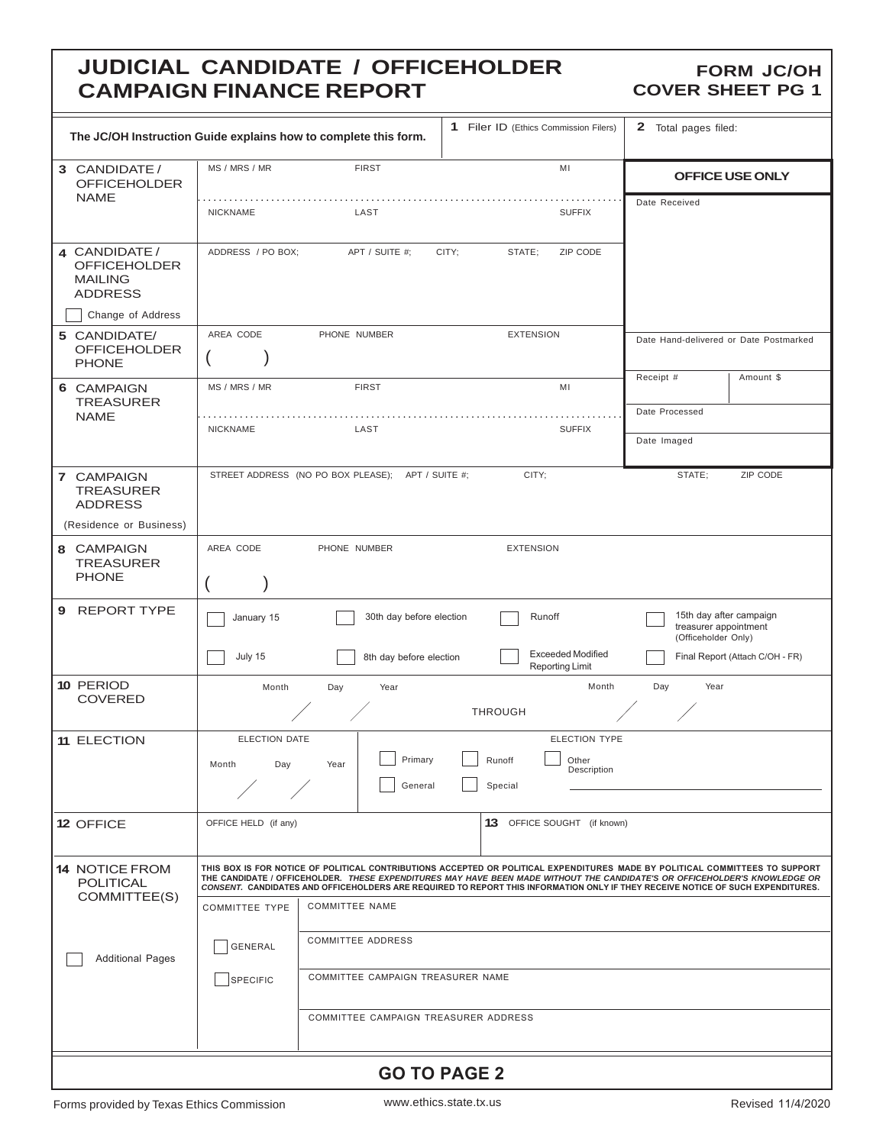# **JUDICIAL CANDIDATE / OFFICEHOLDER CAMPAIGN FINANCE REPORT**

#### **FORM JC/OH COVER SHEET PG 1**

| The JC/OH Instruction Guide explains how to complete this form.             |                       |                                                   | 1 Filer ID (Ethics Commission Filers)              | 2 Total pages filed:                                                                                                                                                                                                                                                                                                                                                                          |  |  |  |
|-----------------------------------------------------------------------------|-----------------------|---------------------------------------------------|----------------------------------------------------|-----------------------------------------------------------------------------------------------------------------------------------------------------------------------------------------------------------------------------------------------------------------------------------------------------------------------------------------------------------------------------------------------|--|--|--|
| 3 CANDIDATE /<br><b>OFFICEHOLDER</b>                                        | MS / MRS / MR         | <b>FIRST</b>                                      | MI                                                 | OFFICE USE ONLY                                                                                                                                                                                                                                                                                                                                                                               |  |  |  |
| <b>NAME</b>                                                                 | <b>NICKNAME</b>       | LAST                                              | <b>SUFFIX</b>                                      | Date Received                                                                                                                                                                                                                                                                                                                                                                                 |  |  |  |
| 4 CANDIDATE /<br><b>OFFICEHOLDER</b><br><b>MAILING</b><br><b>ADDRESS</b>    | ADDRESS / PO BOX;     | APT / SUITE #;                                    | ZIP CODE<br>CITY;<br>STATE;                        |                                                                                                                                                                                                                                                                                                                                                                                               |  |  |  |
| Change of Address                                                           |                       |                                                   |                                                    |                                                                                                                                                                                                                                                                                                                                                                                               |  |  |  |
| 5 CANDIDATE/<br><b>OFFICEHOLDER</b><br><b>PHONE</b>                         | AREA CODE             | PHONE NUMBER                                      | <b>EXTENSION</b>                                   | Date Hand-delivered or Date Postmarked                                                                                                                                                                                                                                                                                                                                                        |  |  |  |
| 6 CAMPAIGN<br><b>TREASURER</b>                                              | MS / MRS / MR         | <b>FIRST</b>                                      | MI                                                 | Receipt #<br>Amount \$                                                                                                                                                                                                                                                                                                                                                                        |  |  |  |
| <b>NAME</b>                                                                 | <b>NICKNAME</b>       | LAST                                              | <b>SUFFIX</b>                                      | Date Processed                                                                                                                                                                                                                                                                                                                                                                                |  |  |  |
|                                                                             |                       |                                                   |                                                    | Date Imaged                                                                                                                                                                                                                                                                                                                                                                                   |  |  |  |
| 7 CAMPAIGN<br><b>TREASURER</b><br><b>ADDRESS</b><br>(Residence or Business) |                       | STREET ADDRESS (NO PO BOX PLEASE); APT / SUITE #; | CITY;                                              | STATE;<br>ZIP CODE                                                                                                                                                                                                                                                                                                                                                                            |  |  |  |
|                                                                             |                       |                                                   |                                                    |                                                                                                                                                                                                                                                                                                                                                                                               |  |  |  |
| 8 CAMPAIGN<br><b>TREASURER</b><br><b>PHONE</b>                              | AREA CODE             | PHONE NUMBER                                      | <b>EXTENSION</b>                                   |                                                                                                                                                                                                                                                                                                                                                                                               |  |  |  |
| <b>REPORT TYPE</b><br>9                                                     | January 15            | 30th day before election                          | Runoff                                             | 15th day after campaign<br>treasurer appointment<br>(Officeholder Only)                                                                                                                                                                                                                                                                                                                       |  |  |  |
|                                                                             | July 15               | 8th day before election                           | <b>Exceeded Modified</b><br><b>Reporting Limit</b> | Final Report (Attach C/OH - FR)                                                                                                                                                                                                                                                                                                                                                               |  |  |  |
| 10 PERIOD<br><b>COVERED</b>                                                 | Month                 | Day<br>Year                                       | Month<br><b>THROUGH</b>                            | Day<br>Year                                                                                                                                                                                                                                                                                                                                                                                   |  |  |  |
| <b>11 ELECTION</b>                                                          | ELECTION DATE         |                                                   | <b>ELECTION TYPE</b>                               |                                                                                                                                                                                                                                                                                                                                                                                               |  |  |  |
|                                                                             | Day<br>Month          | Primary<br>Year<br>General                        | Runoff<br>Other<br>Description                     |                                                                                                                                                                                                                                                                                                                                                                                               |  |  |  |
|                                                                             |                       |                                                   | Special                                            |                                                                                                                                                                                                                                                                                                                                                                                               |  |  |  |
| 12 OFFICE                                                                   | OFFICE HELD (if any)  |                                                   | 13 OFFICE SOUGHT (if known)                        |                                                                                                                                                                                                                                                                                                                                                                                               |  |  |  |
| <b>14 NOTICE FROM</b><br><b>POLITICAL</b><br>COMMITTEE(S)                   |                       |                                                   |                                                    | THIS BOX IS FOR NOTICE OF POLITICAL CONTRIBUTIONS ACCEPTED OR POLITICAL EXPENDITURES MADE BY POLITICAL COMMITTEES TO SUPPORT<br>THE CANDIDATE / OFFICEHOLDER. THESE EXPENDITURES MAY HAVE BEEN MADE WITHOUT THE CANDIDATE'S OR OFFICEHOLDER'S KNOWLEDGE OR<br>CONSENT. CANDIDATES AND OFFICEHOLDERS ARE REQUIRED TO REPORT THIS INFORMATION ONLY IF THEY RECEIVE NOTICE OF SUCH EXPENDITURES. |  |  |  |
|                                                                             | <b>COMMITTEE TYPE</b> | <b>COMMITTEE NAME</b>                             |                                                    |                                                                                                                                                                                                                                                                                                                                                                                               |  |  |  |
| <b>Additional Pages</b>                                                     | <b>GENERAL</b>        | <b>COMMITTEE ADDRESS</b>                          |                                                    |                                                                                                                                                                                                                                                                                                                                                                                               |  |  |  |
|                                                                             | SPECIFIC              | COMMITTEE CAMPAIGN TREASURER NAME                 |                                                    |                                                                                                                                                                                                                                                                                                                                                                                               |  |  |  |
|                                                                             |                       | COMMITTEE CAMPAIGN TREASURER ADDRESS              |                                                    |                                                                                                                                                                                                                                                                                                                                                                                               |  |  |  |
|                                                                             |                       |                                                   | <b>GO TO PAGE 2</b>                                |                                                                                                                                                                                                                                                                                                                                                                                               |  |  |  |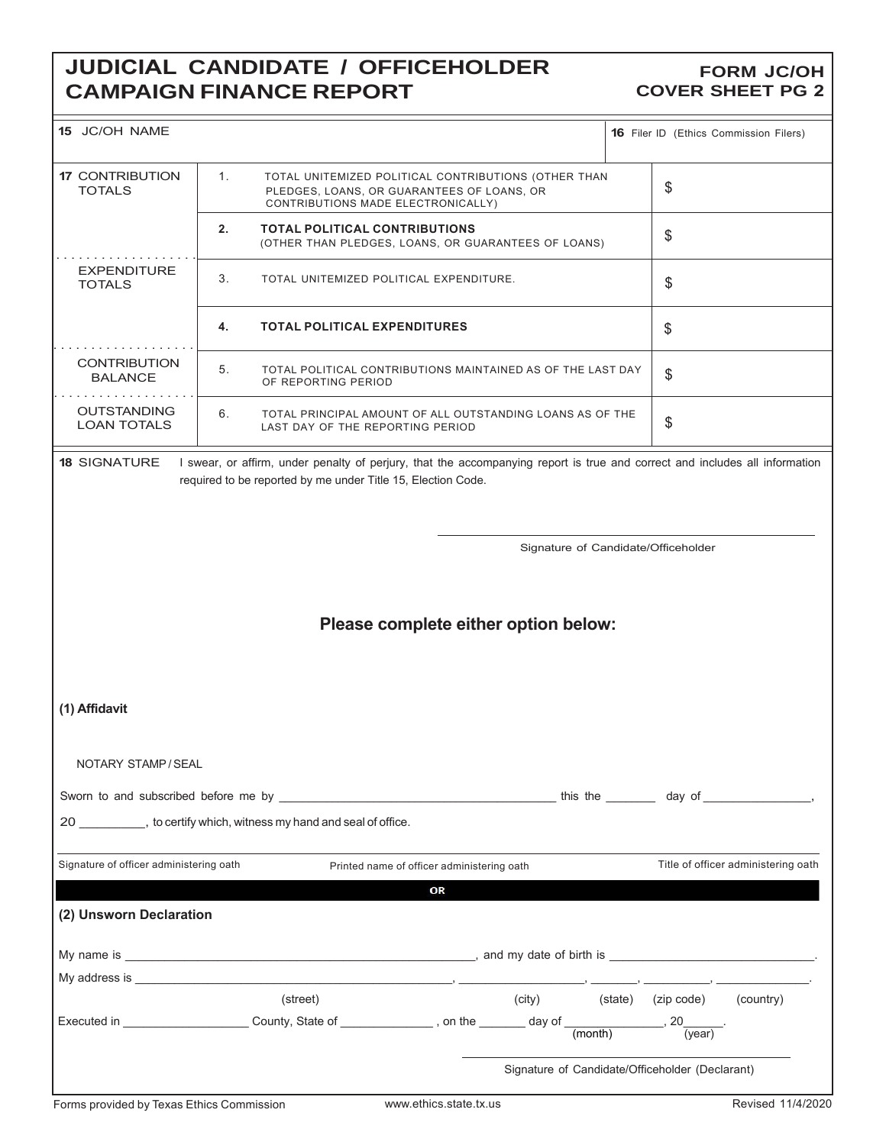# **JUDICIAL CANDIDATE / OFFICEHOLDER CAMPAIGN FINANCE REPORT**

#### **FORM JC/OH COVER SHEET PG 2**

| 15 JC/OH NAME                            |                                                                                                                                                                                             |                                                 | <b>16</b> Filer ID (Ethics Commission Filers) |                                     |  |  |  |
|------------------------------------------|---------------------------------------------------------------------------------------------------------------------------------------------------------------------------------------------|-------------------------------------------------|-----------------------------------------------|-------------------------------------|--|--|--|
| <b>17 CONTRIBUTION</b><br><b>TOTALS</b>  | 1.<br>TOTAL UNITEMIZED POLITICAL CONTRIBUTIONS (OTHER THAN<br>PLEDGES, LOANS, OR GUARANTEES OF LOANS, OR<br>CONTRIBUTIONS MADE ELECTRONICALLY)                                              |                                                 | \$                                            |                                     |  |  |  |
|                                          | 2.<br><b>TOTAL POLITICAL CONTRIBUTIONS</b><br>(OTHER THAN PLEDGES, LOANS, OR GUARANTEES OF LOANS)                                                                                           |                                                 |                                               |                                     |  |  |  |
| <b>EXPENDITURE</b><br><b>TOTALS</b>      | 3.<br>TOTAL UNITEMIZED POLITICAL EXPENDITURE.                                                                                                                                               |                                                 |                                               |                                     |  |  |  |
|                                          | <b>TOTAL POLITICAL EXPENDITURES</b><br>4.                                                                                                                                                   |                                                 | \$                                            |                                     |  |  |  |
| <b>CONTRIBUTION</b><br><b>BALANCE</b>    | 5.<br>TOTAL POLITICAL CONTRIBUTIONS MAINTAINED AS OF THE LAST DAY<br>OF REPORTING PERIOD                                                                                                    |                                                 | \$                                            |                                     |  |  |  |
| <b>OUTSTANDING</b><br><b>LOAN TOTALS</b> | 6.<br>TOTAL PRINCIPAL AMOUNT OF ALL OUTSTANDING LOANS AS OF THE<br>LAST DAY OF THE REPORTING PERIOD                                                                                         |                                                 | \$                                            |                                     |  |  |  |
| <b>18 SIGNATURE</b>                      | I swear, or affirm, under penalty of perjury, that the accompanying report is true and correct and includes all information<br>required to be reported by me under Title 15, Election Code. |                                                 |                                               |                                     |  |  |  |
|                                          |                                                                                                                                                                                             | Signature of Candidate/Officeholder             |                                               |                                     |  |  |  |
|                                          |                                                                                                                                                                                             | Please complete either option below:            |                                               |                                     |  |  |  |
| (1) Affidavit                            |                                                                                                                                                                                             |                                                 |                                               |                                     |  |  |  |
| NOTARY STAMP / SEAL                      |                                                                                                                                                                                             |                                                 |                                               |                                     |  |  |  |
|                                          |                                                                                                                                                                                             |                                                 |                                               |                                     |  |  |  |
|                                          | 20 , to certify which, witness my hand and seal of office.                                                                                                                                  |                                                 |                                               |                                     |  |  |  |
| Signature of officer administering oath  | Printed name of officer administering oath                                                                                                                                                  |                                                 |                                               | Title of officer administering oath |  |  |  |
|                                          | OR                                                                                                                                                                                          |                                                 |                                               |                                     |  |  |  |
| (2) Unsworn Declaration                  |                                                                                                                                                                                             |                                                 |                                               |                                     |  |  |  |
|                                          |                                                                                                                                                                                             |                                                 |                                               |                                     |  |  |  |
|                                          |                                                                                                                                                                                             |                                                 |                                               |                                     |  |  |  |
|                                          | (street)                                                                                                                                                                                    | (city) (state) (zip code) (country)             |                                               |                                     |  |  |  |
|                                          |                                                                                                                                                                                             |                                                 |                                               |                                     |  |  |  |
|                                          |                                                                                                                                                                                             | Signature of Candidate/Officeholder (Declarant) |                                               |                                     |  |  |  |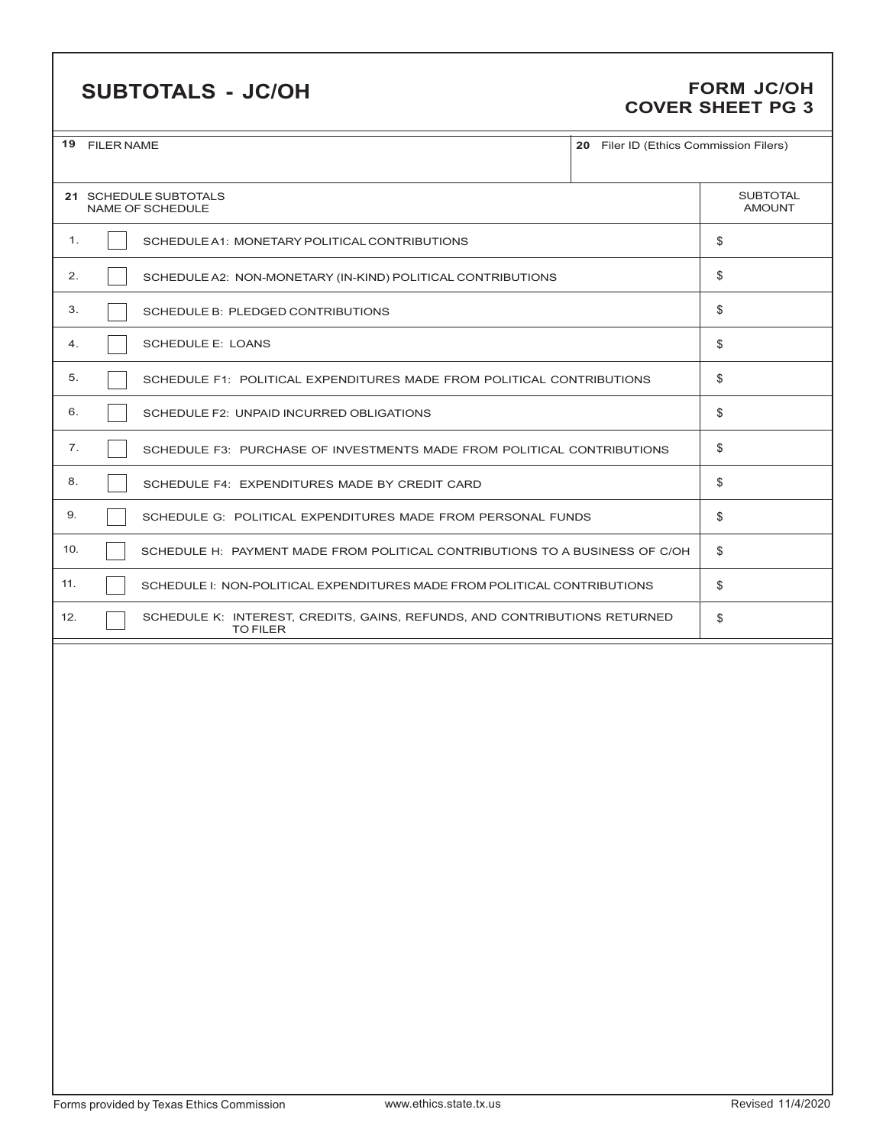# **SUBTOTALS - JC/OH FORM JC/OH**

# **COVER SHEET PG 3**

|     | 19 FILER NAME<br>20 Filer ID (Ethics Commission Filers)                                      |    |  |  |  |  |
|-----|----------------------------------------------------------------------------------------------|----|--|--|--|--|
|     | 21 SCHEDULE SUBTOTALS<br><b>NAME OF SCHEDULE</b>                                             |    |  |  |  |  |
| 1.  | SCHEDULE A1: MONETARY POLITICAL CONTRIBUTIONS                                                | \$ |  |  |  |  |
| 2.  | SCHEDULE A2: NON-MONETARY (IN-KIND) POLITICAL CONTRIBUTIONS                                  | \$ |  |  |  |  |
| 3.  | SCHEDULE B: PLEDGED CONTRIBUTIONS                                                            | \$ |  |  |  |  |
| 4.  | <b>SCHEDULE E: LOANS</b>                                                                     | \$ |  |  |  |  |
| 5.  | SCHEDULE F1: POLITICAL EXPENDITURES MADE FROM POLITICAL CONTRIBUTIONS                        | \$ |  |  |  |  |
| 6.  | SCHEDULE F2: UNPAID INCURRED OBLIGATIONS                                                     | \$ |  |  |  |  |
| 7.  | SCHEDULE F3: PURCHASE OF INVESTMENTS MADE FROM POLITICAL CONTRIBUTIONS                       | \$ |  |  |  |  |
| 8.  | SCHEDULE F4: EXPENDITURES MADE BY CREDIT CARD                                                | \$ |  |  |  |  |
| 9.  | SCHEDULE G: POLITICAL EXPENDITURES MADE FROM PERSONAL FUNDS                                  | \$ |  |  |  |  |
| 10. | SCHEDULE H: PAYMENT MADE FROM POLITICAL CONTRIBUTIONS TO A BUSINESS OF C/OH                  | \$ |  |  |  |  |
| 11. | SCHEDULE I: NON-POLITICAL EXPENDITURES MADE FROM POLITICAL CONTRIBUTIONS                     | \$ |  |  |  |  |
| 12. | SCHEDULE K: INTEREST, CREDITS, GAINS, REFUNDS, AND CONTRIBUTIONS RETURNED<br><b>TO FILER</b> | \$ |  |  |  |  |
|     |                                                                                              |    |  |  |  |  |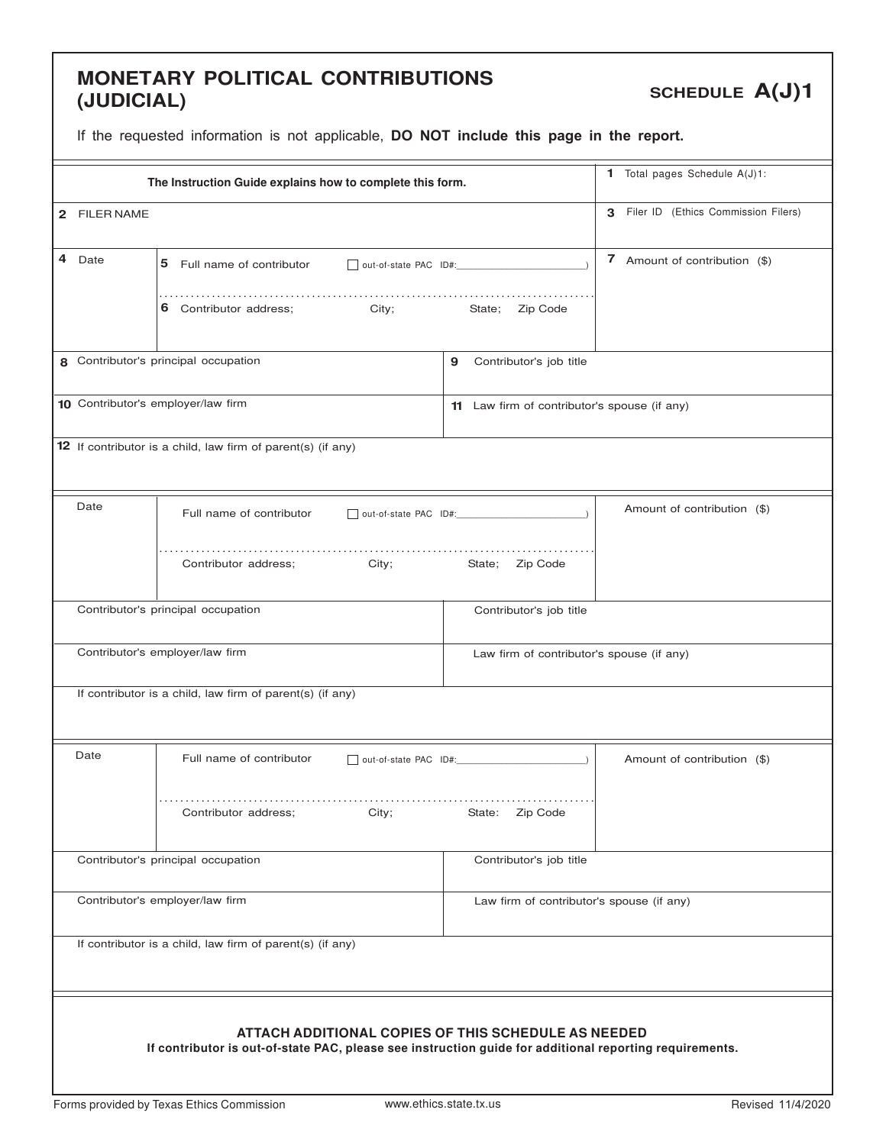#### **MONETARY POLITICAL CONTRIBUTIONS (JUDICIAL)**

**SCHEDULE A(J)1**

|              | The Instruction Guide explains how to complete this form.                                                                                                      |                                              | 1 Total pages Schedule A(J)1:         |  |  |  |
|--------------|----------------------------------------------------------------------------------------------------------------------------------------------------------------|----------------------------------------------|---------------------------------------|--|--|--|
| 2 FILER NAME |                                                                                                                                                                |                                              | 3 Filer ID (Ethics Commission Filers) |  |  |  |
| 4<br>Date    | 5 Full name of contributor                                                                                                                                     | out-of-state PAC ID#:                        | 7 Amount of contribution (\$)         |  |  |  |
|              | Contributor address;<br>City;<br>6                                                                                                                             | Zip Code<br>State;                           |                                       |  |  |  |
|              | 8 Contributor's principal occupation                                                                                                                           | Contributor's job title<br>9                 |                                       |  |  |  |
|              | 10 Contributor's employer/law firm                                                                                                                             | 11 Law firm of contributor's spouse (if any) |                                       |  |  |  |
|              | 12 If contributor is a child, law firm of parent(s) (if any)                                                                                                   |                                              |                                       |  |  |  |
| Date         | Full name of contributor                                                                                                                                       | out-of-state PAC ID#:                        | Amount of contribution (\$)           |  |  |  |
|              | Contributor address;<br>City;                                                                                                                                  | State; Zip Code                              |                                       |  |  |  |
|              | Contributor's principal occupation                                                                                                                             | Contributor's job title                      |                                       |  |  |  |
|              | Contributor's employer/law firm                                                                                                                                | Law firm of contributor's spouse (if any)    |                                       |  |  |  |
|              | If contributor is a child, law firm of parent(s) (if any)                                                                                                      |                                              |                                       |  |  |  |
| Date         | Full name of contributor                                                                                                                                       | $\Box$ out-of-state PAC ID#:                 | Amount of contribution (\$)           |  |  |  |
|              | Contributor address;<br>City;                                                                                                                                  | Zip Code<br>State:                           |                                       |  |  |  |
|              | Contributor's principal occupation                                                                                                                             | Contributor's job title                      |                                       |  |  |  |
|              | Contributor's employer/law firm                                                                                                                                | Law firm of contributor's spouse (if any)    |                                       |  |  |  |
|              | If contributor is a child, law firm of parent(s) (if any)                                                                                                      |                                              |                                       |  |  |  |
|              | ATTACH ADDITIONAL COPIES OF THIS SCHEDULE AS NEEDED<br>If contributor is out-of-state PAC, please see instruction guide for additional reporting requirements. |                                              |                                       |  |  |  |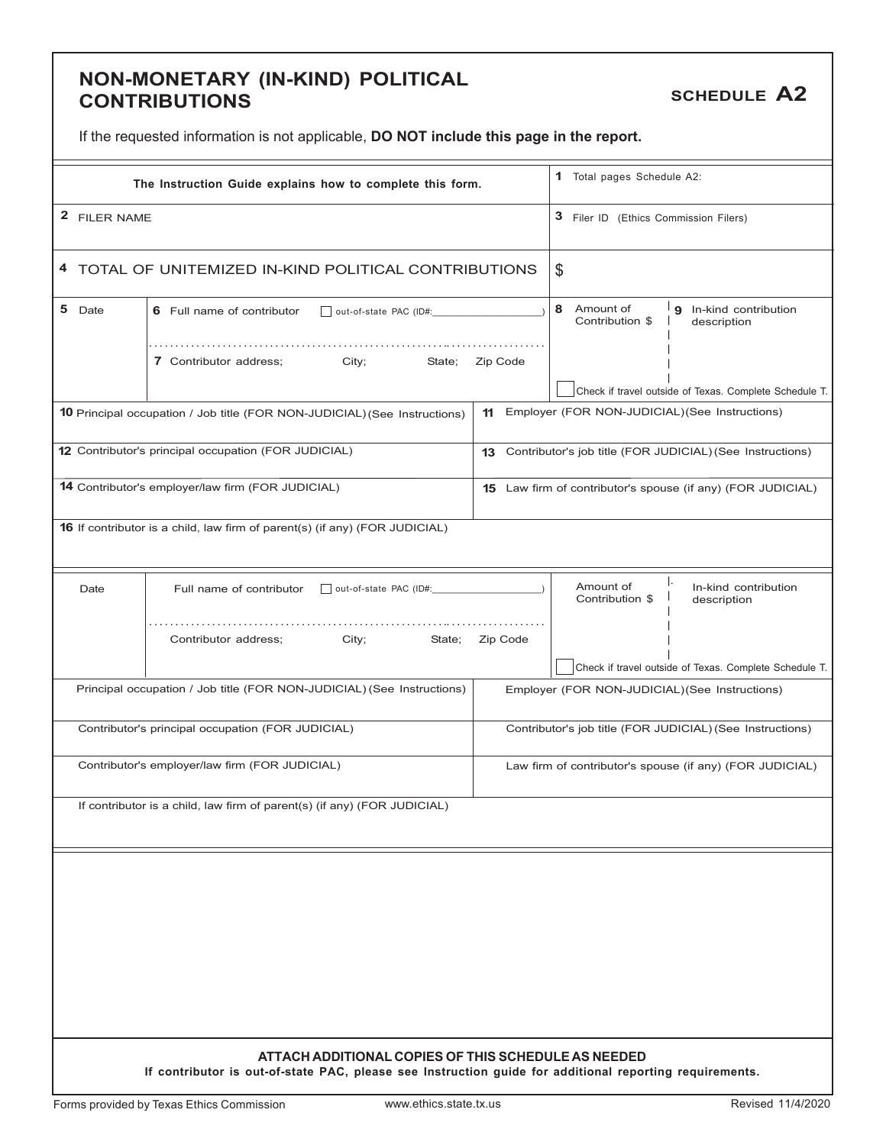#### **NON-MONETARY (IN-KIND) POLITICAL CONTRIBUTIONS**

**SCHEDULE A2**

|  | If the requested information is not applicable, DO NOT include this page in the report. |
|--|-----------------------------------------------------------------------------------------|
|--|-----------------------------------------------------------------------------------------|

|              | The Instruction Guide explains how to complete this form.                                                                                                      |                                       | 1 Total pages Schedule A2:                     |                                                             |  |
|--------------|----------------------------------------------------------------------------------------------------------------------------------------------------------------|---------------------------------------|------------------------------------------------|-------------------------------------------------------------|--|
| 2 FILER NAME |                                                                                                                                                                | 3 Filer ID (Ethics Commission Filers) |                                                |                                                             |  |
|              | 4 TOTAL OF UNITEMIZED IN-KIND POLITICAL CONTRIBUTIONS                                                                                                          |                                       | \$                                             |                                                             |  |
| 5 Date       | 6 Full name of contributor                                                                                                                                     | 8<br>Amount of<br>Contribution \$     | 9 In-kind contribution<br>description          |                                                             |  |
|              | 7 Contributor address;<br>City;<br>State;                                                                                                                      | Zip Code                              |                                                | Check if travel outside of Texas. Complete Schedule T.      |  |
|              | <b>10</b> Principal occupation / Job title (FOR NON-JUDICIAL) (See Instructions)                                                                               | 11                                    | Employer (FOR NON-JUDICIAL) (See Instructions) |                                                             |  |
|              | 12 Contributor's principal occupation (FOR JUDICIAL)                                                                                                           | 13                                    |                                                | Contributor's job title (FOR JUDICIAL) (See Instructions)   |  |
|              | 14 Contributor's employer/law firm (FOR JUDICIAL)                                                                                                              |                                       |                                                | 15 Law firm of contributor's spouse (if any) (FOR JUDICIAL) |  |
|              | 16 If contributor is a child, law firm of parent(s) (if any) (FOR JUDICIAL)                                                                                    |                                       |                                                |                                                             |  |
| Date         | Full name of contributor                                                                                                                                       |                                       | Amount of<br>Contribution \$                   | In-kind contribution<br>description                         |  |
|              | Contributor address;<br>City;<br>State;                                                                                                                        | Zip Code                              |                                                | Check if travel outside of Texas. Complete Schedule T.      |  |
|              | Principal occupation / Job title (FOR NON-JUDICIAL) (See Instructions)                                                                                         |                                       | Employer (FOR NON-JUDICIAL) (See Instructions) |                                                             |  |
|              | Contributor's principal occupation (FOR JUDICIAL)                                                                                                              |                                       |                                                | Contributor's job title (FOR JUDICIAL) (See Instructions)   |  |
|              | Contributor's employer/law firm (FOR JUDICIAL)                                                                                                                 |                                       |                                                | Law firm of contributor's spouse (if any) (FOR JUDICIAL)    |  |
|              | If contributor is a child, law firm of parent(s) (if any) (FOR JUDICIAL)                                                                                       |                                       |                                                |                                                             |  |
|              |                                                                                                                                                                |                                       |                                                |                                                             |  |
|              |                                                                                                                                                                |                                       |                                                |                                                             |  |
|              |                                                                                                                                                                |                                       |                                                |                                                             |  |
|              |                                                                                                                                                                |                                       |                                                |                                                             |  |
|              |                                                                                                                                                                |                                       |                                                |                                                             |  |
|              | ATTACH ADDITIONAL COPIES OF THIS SCHEDULE AS NEEDED<br>If contributor is out-of-state PAC, please see Instruction guide for additional reporting requirements. |                                       |                                                |                                                             |  |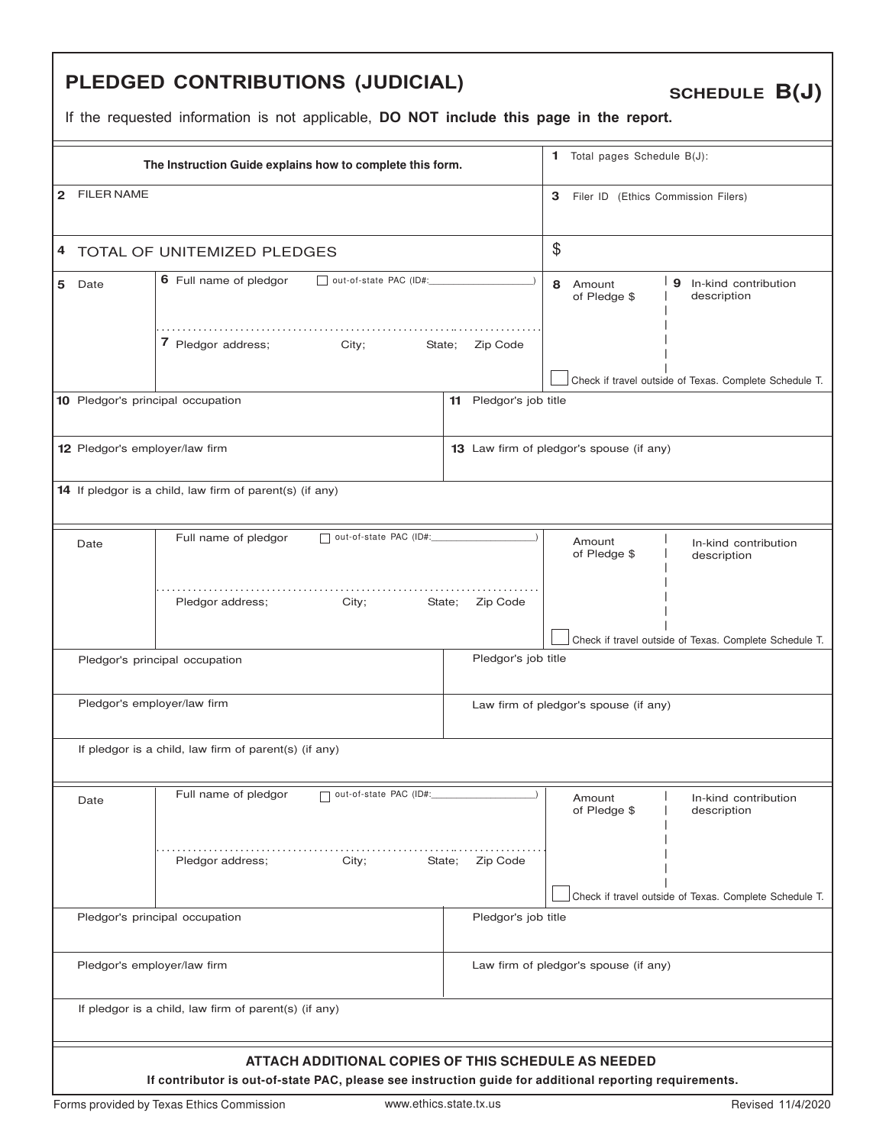# **PLEDGED CONTRIBUTIONS (JUDICIAL)**

**SCHEDULE B(J)**

|                                                |                                                                                                                                                                | The Instruction Guide explains how to complete this form. |                                          |                                                        | 1 Total pages Schedule B(J): |                                                        |  |  |
|------------------------------------------------|----------------------------------------------------------------------------------------------------------------------------------------------------------------|-----------------------------------------------------------|------------------------------------------|--------------------------------------------------------|------------------------------|--------------------------------------------------------|--|--|
| $\mathbf{2}$                                   | <b>FILER NAME</b>                                                                                                                                              |                                                           |                                          | 3<br>Filer ID (Ethics Commission Filers)               |                              |                                                        |  |  |
|                                                |                                                                                                                                                                | 4 TOTAL OF UNITEMIZED PLEDGES                             |                                          | $\$\$                                                  |                              |                                                        |  |  |
|                                                | 5 Date                                                                                                                                                         | 6 Full name of pledgor<br>out-of-state PAC (ID#:          |                                          | 8 Amount                                               | of Pledge \$                 | 9 In-kind contribution<br>description                  |  |  |
| 7 Pledgor address; City;<br>State:<br>Zip Code |                                                                                                                                                                |                                                           |                                          |                                                        |                              | Check if travel outside of Texas. Complete Schedule T. |  |  |
|                                                |                                                                                                                                                                | 10 Pledgor's principal occupation                         | Pledgor's job title<br>11                |                                                        |                              |                                                        |  |  |
|                                                | 12 Pledgor's employer/law firm                                                                                                                                 |                                                           | 13 Law firm of pledgor's spouse (if any) |                                                        |                              |                                                        |  |  |
|                                                |                                                                                                                                                                | 14 If pledgor is a child, law firm of parent(s) (if any)  |                                          |                                                        |                              |                                                        |  |  |
|                                                | Date                                                                                                                                                           | out-of-state PAC (ID#:<br>Full name of pledgor            |                                          | Amount                                                 | of Pledge \$                 | In-kind contribution<br>description                    |  |  |
|                                                |                                                                                                                                                                | Pledgor address;<br>City;                                 | State; Zip Code                          |                                                        |                              |                                                        |  |  |
|                                                |                                                                                                                                                                | Pledgor's principal occupation                            | Pledgor's job title                      | Check if travel outside of Texas. Complete Schedule T. |                              |                                                        |  |  |
|                                                |                                                                                                                                                                |                                                           |                                          |                                                        |                              |                                                        |  |  |
|                                                | Pledgor's employer/law firm                                                                                                                                    |                                                           | Law firm of pledgor's spouse (if any)    |                                                        |                              |                                                        |  |  |
|                                                |                                                                                                                                                                | If pledgor is a child, law firm of parent(s) (if any)     |                                          |                                                        |                              |                                                        |  |  |
|                                                | Date                                                                                                                                                           | Full name of pledgor<br>out-of-state PAC (ID#:            |                                          | Amount                                                 | of Pledge \$                 | In-kind contribution<br>description                    |  |  |
|                                                |                                                                                                                                                                | Pledgor address;<br>City;                                 | State;<br>Zip Code                       |                                                        |                              |                                                        |  |  |
|                                                |                                                                                                                                                                | Pledgor's principal occupation                            | Pledgor's job title                      |                                                        |                              | Check if travel outside of Texas. Complete Schedule T. |  |  |
|                                                |                                                                                                                                                                |                                                           |                                          |                                                        |                              |                                                        |  |  |
|                                                | Pledgor's employer/law firm                                                                                                                                    |                                                           | Law firm of pledgor's spouse (if any)    |                                                        |                              |                                                        |  |  |
|                                                |                                                                                                                                                                | If pledgor is a child, law firm of parent(s) (if any)     |                                          |                                                        |                              |                                                        |  |  |
|                                                | ATTACH ADDITIONAL COPIES OF THIS SCHEDULE AS NEEDED<br>If contributor is out-of-state PAC, please see instruction guide for additional reporting requirements. |                                                           |                                          |                                                        |                              |                                                        |  |  |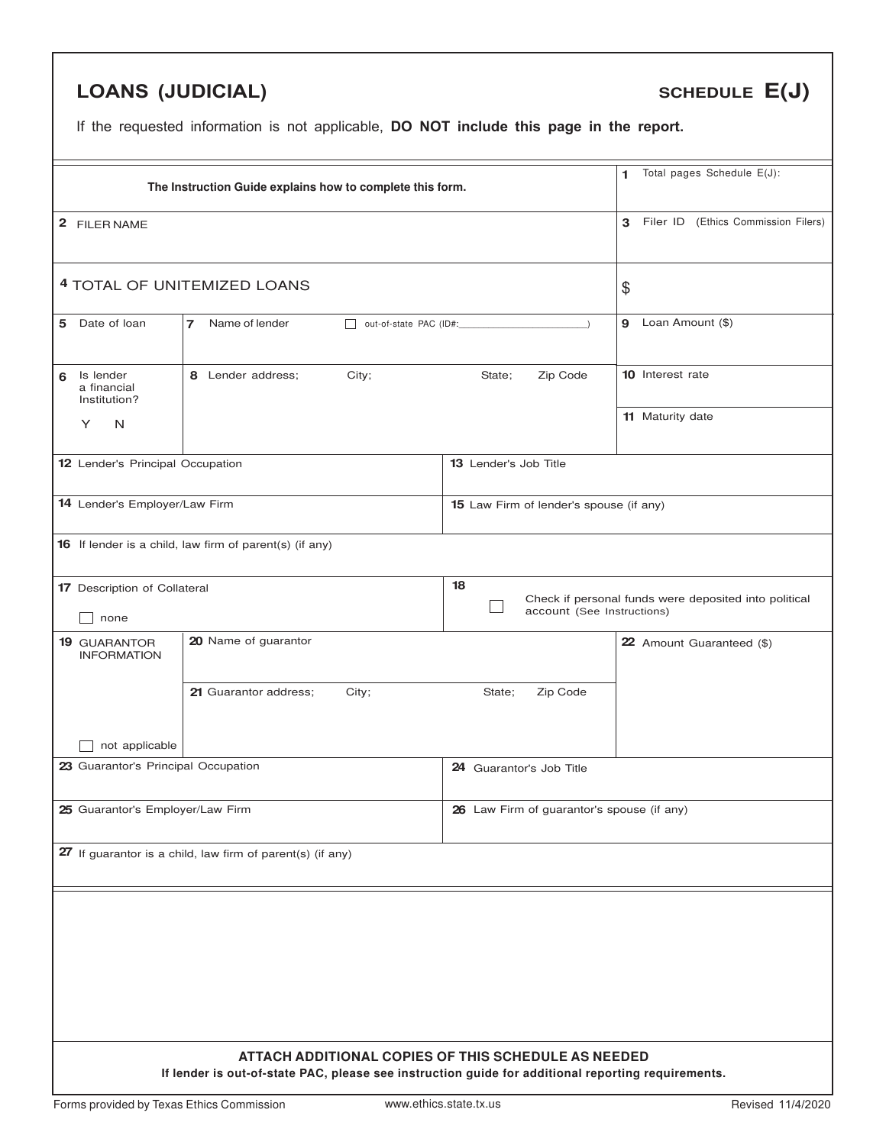# **LOANS (JUDICIAL)**

# **SCHEDULE E(J)**

|                                                         | The Instruction Guide explains how to complete this form.                                                                                                 |                                            |                                                       |  |  |  |
|---------------------------------------------------------|-----------------------------------------------------------------------------------------------------------------------------------------------------------|--------------------------------------------|-------------------------------------------------------|--|--|--|
| 2 FILER NAME                                            |                                                                                                                                                           |                                            |                                                       |  |  |  |
|                                                         | 4 TOTAL OF UNITEMIZED LOANS                                                                                                                               |                                            |                                                       |  |  |  |
| 5 Date of loan<br>$\overline{7}$                        | 9 Loan Amount (\$)                                                                                                                                        |                                            |                                                       |  |  |  |
| Is lender<br>6<br>a financial<br>Institution?           | City;<br>8 Lender address;                                                                                                                                | 10 Interest rate                           |                                                       |  |  |  |
| Y<br>N                                                  |                                                                                                                                                           |                                            | 11 Maturity date                                      |  |  |  |
| 12 Lender's Principal Occupation                        |                                                                                                                                                           | 13 Lender's Job Title                      |                                                       |  |  |  |
| 14 Lender's Employer/Law Firm                           |                                                                                                                                                           | 15 Law Firm of lender's spouse (if any)    |                                                       |  |  |  |
| 16 If lender is a child, law firm of parent(s) (if any) |                                                                                                                                                           |                                            |                                                       |  |  |  |
| 17 Description of Collateral<br>none                    |                                                                                                                                                           | 18<br>account (See Instructions)           | Check if personal funds were deposited into political |  |  |  |
| <b>19 GUARANTOR</b><br><b>INFORMATION</b>               | 20 Name of guarantor                                                                                                                                      |                                            | 22 Amount Guaranteed (\$)                             |  |  |  |
|                                                         | 21 Guarantor address;<br>City;                                                                                                                            | Zip Code<br>State;                         |                                                       |  |  |  |
| not applicable                                          |                                                                                                                                                           |                                            |                                                       |  |  |  |
| 23 Guarantor's Principal Occupation                     |                                                                                                                                                           | 24 Guarantor's Job Title                   |                                                       |  |  |  |
| 25 Guarantor's Employer/Law Firm                        |                                                                                                                                                           | 26 Law Firm of guarantor's spouse (if any) |                                                       |  |  |  |
|                                                         | 27 If guarantor is a child, law firm of parent(s) (if any)                                                                                                |                                            |                                                       |  |  |  |
|                                                         |                                                                                                                                                           |                                            |                                                       |  |  |  |
|                                                         |                                                                                                                                                           |                                            |                                                       |  |  |  |
|                                                         |                                                                                                                                                           |                                            |                                                       |  |  |  |
|                                                         |                                                                                                                                                           |                                            |                                                       |  |  |  |
|                                                         | ATTACH ADDITIONAL COPIES OF THIS SCHEDULE AS NEEDED<br>If lender is out-of-state PAC, please see instruction guide for additional reporting requirements. |                                            |                                                       |  |  |  |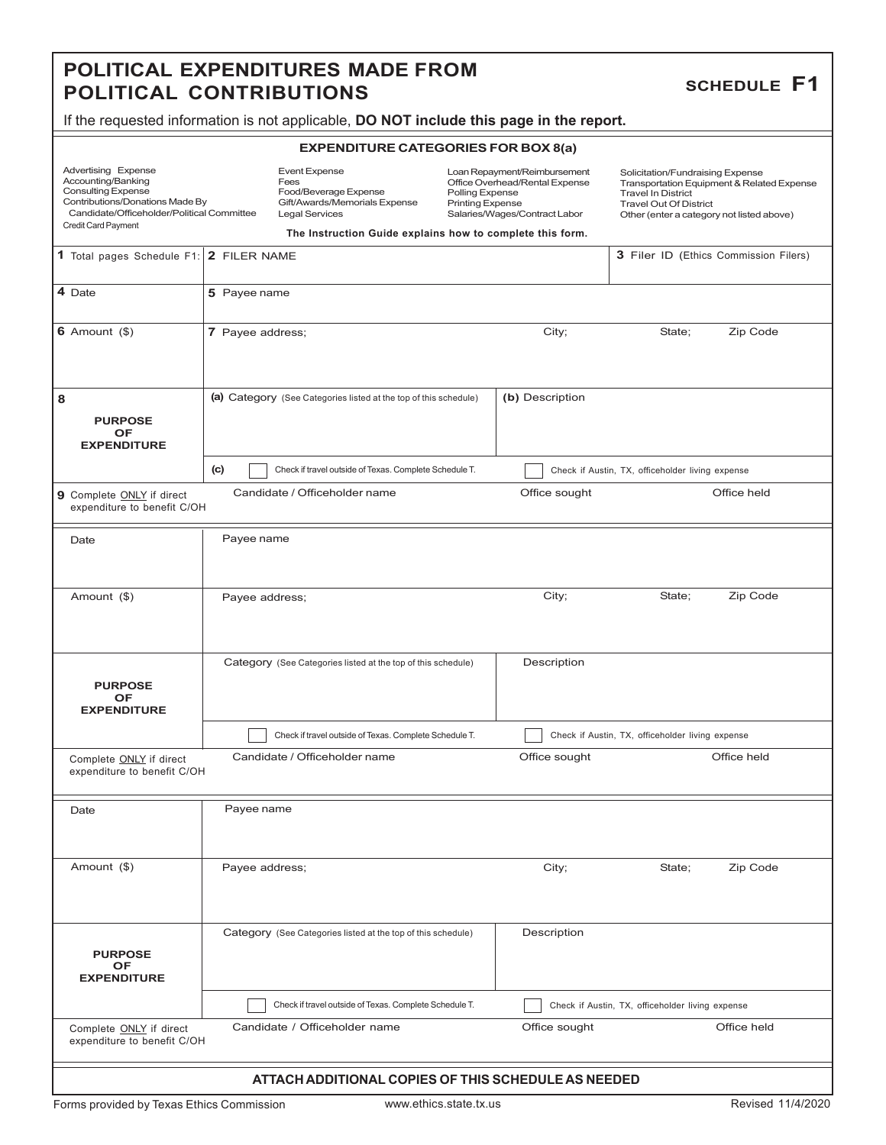#### **POLITICAL EXPENDITURES MADE FROM POLITICAL CONTRIBUTIONS**

#### **SCHEDULE F1**

If the requested information is not applicable, **DO NOT include this page in the report.**

#### **EXPENDITURE CATEGORIES FOR BOX 8(a)**

| Advertising Expense                        |
|--------------------------------------------|
| Accounting/Banking                         |
| <b>Consulting Expense</b>                  |
| Contributions/Donations Made By            |
| Candidate/Officeholder/Political Committee |
| <b>Credit Card Payment</b>                 |

Event Expense Fees Food/Beverage Expense Gift/Awards/Memorials Expense Legal Services

Loan Repayment/Reimbursement Office Overhead/Rental Expense Polling Expense Printing Expense Salaries/Wages/Contract Labor

Solicitation/Fundraising Expense Transportation Equipment & Related Expense Travel In District Travel Out Of District Other (enter a category not listed above)

| The Instruction Guide explains how to complete this form. |  |                                     |  |
|-----------------------------------------------------------|--|-------------------------------------|--|
| 1 Total pages Schedule F1: 2 FILER NAME                   |  | Filer ID (Ethics Commission Filers) |  |

| 4 Date                                                   | 5 Payee name                                                                |                                                  |  |  |  |  |  |  |
|----------------------------------------------------------|-----------------------------------------------------------------------------|--------------------------------------------------|--|--|--|--|--|--|
| 6 Amount $(\$)$                                          | 7 Payee address;                                                            | Zip Code<br>City;<br>State;                      |  |  |  |  |  |  |
| 8<br><b>PURPOSE</b><br><b>OF</b><br><b>EXPENDITURE</b>   | (a) Category (See Categories listed at the top of this schedule)            | (b) Description                                  |  |  |  |  |  |  |
|                                                          | (c)<br>Check if travel outside of Texas. Complete Schedule T.               | Check if Austin, TX, officeholder living expense |  |  |  |  |  |  |
| 9 Complete ONLY if direct<br>expenditure to benefit C/OH | Candidate / Officeholder name                                               | Office sought<br>Office held                     |  |  |  |  |  |  |
| Date                                                     | Payee name                                                                  |                                                  |  |  |  |  |  |  |
| Amount (\$)                                              | Payee address;                                                              | Zip Code<br>City;<br>State;                      |  |  |  |  |  |  |
| <b>PURPOSE</b><br><b>OF</b><br><b>EXPENDITURE</b>        | Category (See Categories listed at the top of this schedule)                | Description                                      |  |  |  |  |  |  |
|                                                          | Check if travel outside of Texas. Complete Schedule T.                      | Check if Austin, TX, officeholder living expense |  |  |  |  |  |  |
| Complete ONLY if direct<br>expenditure to benefit C/OH   | Candidate / Officeholder name                                               | Office sought<br>Office held                     |  |  |  |  |  |  |
| Date                                                     | Payee name                                                                  |                                                  |  |  |  |  |  |  |
| Amount (\$)                                              | Payee address;                                                              | City;<br>Zip Code<br>State;                      |  |  |  |  |  |  |
| <b>PURPOSE</b><br>OF<br><b>EXPENDITURE</b>               | Description<br>Category (See Categories listed at the top of this schedule) |                                                  |  |  |  |  |  |  |
|                                                          | Check if travel outside of Texas. Complete Schedule T.                      | Check if Austin, TX, officeholder living expense |  |  |  |  |  |  |
| Complete ONLY if direct<br>expenditure to benefit C/OH   | Candidate / Officeholder name                                               | Office sought<br>Office held                     |  |  |  |  |  |  |
|                                                          | ATTACH ADDITIONAL COPIES OF THIS SCHEDULE AS NEEDED                         |                                                  |  |  |  |  |  |  |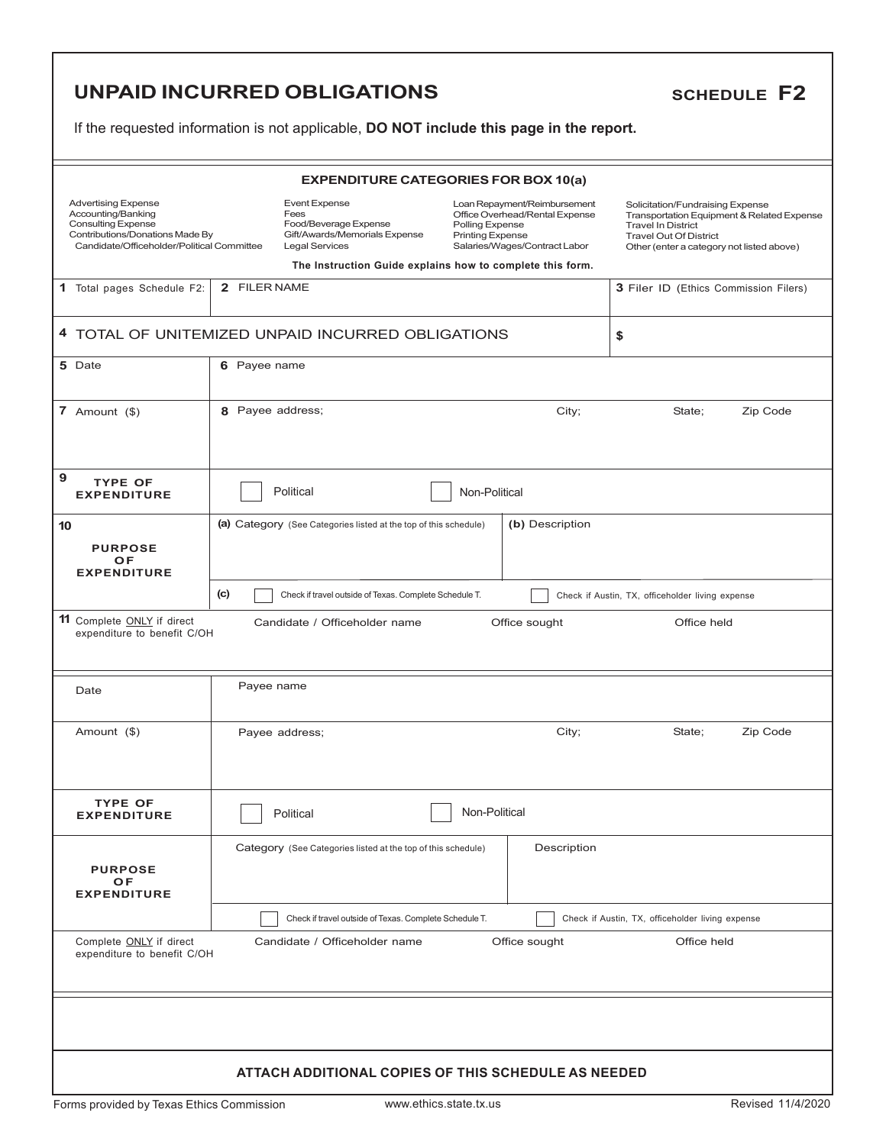# **UNPAID INCURRED OBLIGATIONS**

#### **SCHEDULE F2**

| <b>EXPENDITURE CATEGORIES FOR BOX 10(a)</b>                                                                                                                    |                                                                                                                                                                                                                                                                  |                                                                  |                        |               |                                                                                                                                                                                           |                                                  |             |                                       |
|----------------------------------------------------------------------------------------------------------------------------------------------------------------|------------------------------------------------------------------------------------------------------------------------------------------------------------------------------------------------------------------------------------------------------------------|------------------------------------------------------------------|------------------------|---------------|-------------------------------------------------------------------------------------------------------------------------------------------------------------------------------------------|--------------------------------------------------|-------------|---------------------------------------|
| <b>Advertising Expense</b><br>Accounting/Banking<br><b>Consulting Expense</b><br>Contributions/Donations Made By<br>Candidate/Officeholder/Political Committee | <b>Event Expense</b><br>Loan Repayment/Reimbursement<br>Fees<br>Office Overhead/Rental Expense<br>Food/Beverage Expense<br>Polling Expense<br>Gift/Awards/Memorials Expense<br><b>Printing Expense</b><br><b>Legal Services</b><br>Salaries/Wages/Contract Labor |                                                                  |                        |               | Solicitation/Fundraising Expense<br>Transportation Equipment & Related Expense<br><b>Travel In District</b><br><b>Travel Out Of District</b><br>Other (enter a category not listed above) |                                                  |             |                                       |
|                                                                                                                                                                |                                                                                                                                                                                                                                                                  |                                                                  |                        |               | The Instruction Guide explains how to complete this form.                                                                                                                                 |                                                  |             |                                       |
| 2 FILER NAME<br>1 Total pages Schedule F2:                                                                                                                     |                                                                                                                                                                                                                                                                  |                                                                  |                        |               |                                                                                                                                                                                           |                                                  |             | 3 Filer ID (Ethics Commission Filers) |
| 4 TOTAL OF UNITEMIZED UNPAID INCURRED OBLIGATIONS                                                                                                              |                                                                                                                                                                                                                                                                  |                                                                  |                        |               |                                                                                                                                                                                           | \$                                               |             |                                       |
| 5 Date                                                                                                                                                         | 6 Payee name                                                                                                                                                                                                                                                     |                                                                  |                        |               |                                                                                                                                                                                           |                                                  |             |                                       |
| 7 Amount $($)$                                                                                                                                                 | 8 Payee address;                                                                                                                                                                                                                                                 |                                                                  |                        |               | City;                                                                                                                                                                                     |                                                  | State;      | Zip Code                              |
| 9<br><b>TYPE OF</b><br><b>EXPENDITURE</b>                                                                                                                      |                                                                                                                                                                                                                                                                  | Political                                                        |                        | Non-Political |                                                                                                                                                                                           |                                                  |             |                                       |
| 10<br><b>PURPOSE</b><br>OF<br><b>EXPENDITURE</b>                                                                                                               |                                                                                                                                                                                                                                                                  | (a) Category (See Categories listed at the top of this schedule) |                        |               | (b) Description                                                                                                                                                                           |                                                  |             |                                       |
|                                                                                                                                                                | (c)                                                                                                                                                                                                                                                              | Check if travel outside of Texas. Complete Schedule T.           |                        |               |                                                                                                                                                                                           | Check if Austin, TX, officeholder living expense |             |                                       |
| 11 Complete ONLY if direct                                                                                                                                     | Candidate / Officeholder name<br>Office sought<br>Office held<br>expenditure to benefit C/OH                                                                                                                                                                     |                                                                  |                        |               |                                                                                                                                                                                           |                                                  |             |                                       |
| Date                                                                                                                                                           | Payee name                                                                                                                                                                                                                                                       |                                                                  |                        |               |                                                                                                                                                                                           |                                                  |             |                                       |
| Amount (\$)                                                                                                                                                    |                                                                                                                                                                                                                                                                  | Payee address;                                                   |                        |               | City;                                                                                                                                                                                     |                                                  | State;      | Zip Code                              |
| <b>TYPE OF</b><br><b>EXPENDITURE</b>                                                                                                                           |                                                                                                                                                                                                                                                                  | Political                                                        |                        | Non-Political |                                                                                                                                                                                           |                                                  |             |                                       |
| <b>PURPOSE</b><br>OF<br><b>EXPENDITURE</b>                                                                                                                     |                                                                                                                                                                                                                                                                  | Category (See Categories listed at the top of this schedule)     |                        |               | Description                                                                                                                                                                               |                                                  |             |                                       |
|                                                                                                                                                                |                                                                                                                                                                                                                                                                  | Check if travel outside of Texas. Complete Schedule T.           |                        |               |                                                                                                                                                                                           | Check if Austin, TX, officeholder living expense |             |                                       |
| Complete ONLY if direct<br>expenditure to benefit C/OH                                                                                                         |                                                                                                                                                                                                                                                                  | Candidate / Officeholder name                                    |                        |               | Office sought                                                                                                                                                                             |                                                  | Office held |                                       |
|                                                                                                                                                                |                                                                                                                                                                                                                                                                  |                                                                  |                        |               |                                                                                                                                                                                           |                                                  |             |                                       |
|                                                                                                                                                                | ATTACH ADDITIONAL COPIES OF THIS SCHEDULE AS NEEDED                                                                                                                                                                                                              |                                                                  |                        |               |                                                                                                                                                                                           |                                                  |             |                                       |
| Forms provided by Texas Ethics Commission                                                                                                                      |                                                                                                                                                                                                                                                                  |                                                                  | www.ethics.state.tx.us |               |                                                                                                                                                                                           |                                                  |             | Revised 11/4/2020                     |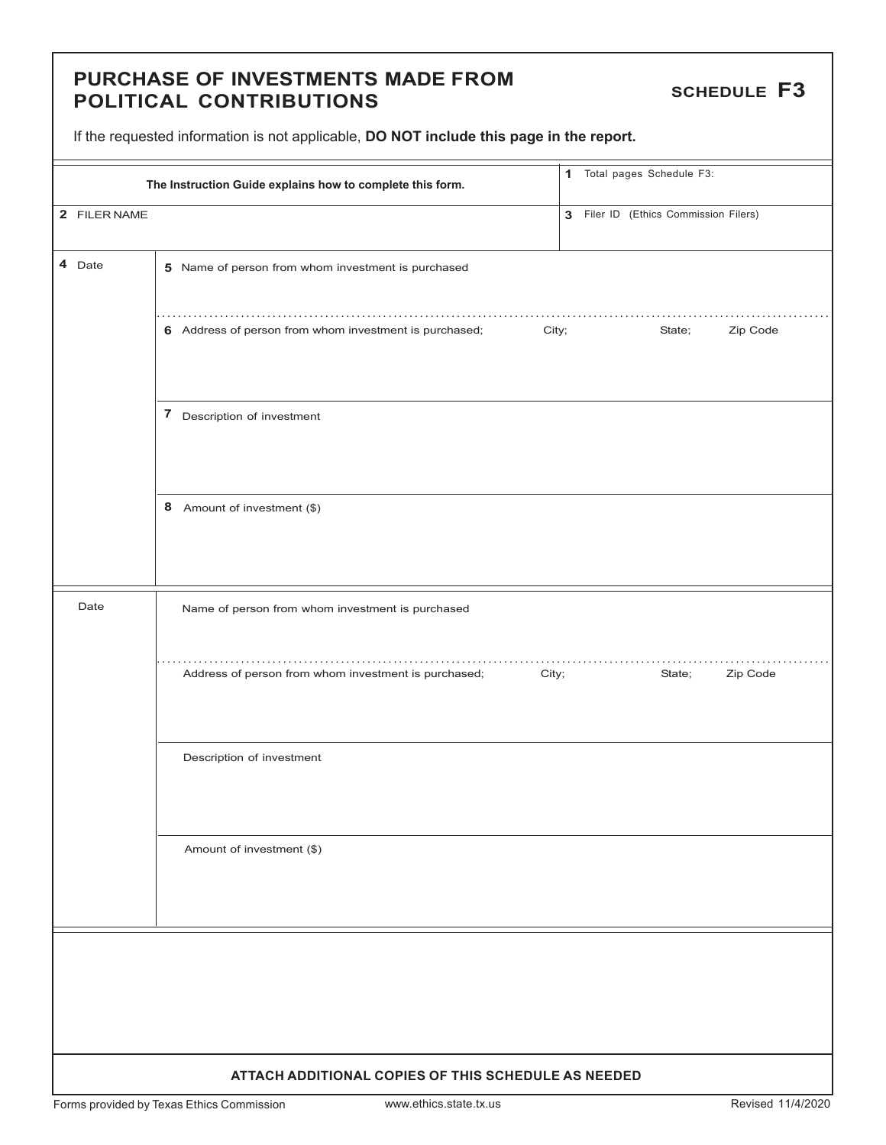#### **PURCHASE OF INVESTMENTS MADE FROM POLITICAL CONTRIBUTIONS**

**SCHEDULE F3**

If the requested information is not applicable, **DO NOT include this page in the report.**

|              | The Instruction Guide explains how to complete this form.       | 1 Total pages Schedule F3:            |  |  |  |
|--------------|-----------------------------------------------------------------|---------------------------------------|--|--|--|
| 2 FILER NAME |                                                                 | 3 Filer ID (Ethics Commission Filers) |  |  |  |
| 4 Date       | 5 Name of person from whom investment is purchased              |                                       |  |  |  |
|              | 6 Address of person from whom investment is purchased;<br>City; | State;<br>Zip Code                    |  |  |  |
|              | 7 Description of investment                                     |                                       |  |  |  |
|              | 8 Amount of investment (\$)                                     |                                       |  |  |  |
| Date         | Name of person from whom investment is purchased                |                                       |  |  |  |
|              | Address of person from whom investment is purchased;<br>City;   | Zip Code<br>State;                    |  |  |  |
|              | Description of investment                                       |                                       |  |  |  |
|              | Amount of investment (\$)                                       |                                       |  |  |  |
|              |                                                                 |                                       |  |  |  |
|              | ATTACH ADDITIONAL COPIES OF THIS SCHEDULE AS NEEDED             |                                       |  |  |  |

Forms provided by Texas Ethics Commission www.ethics.state.tx.us Revised 11/4/2020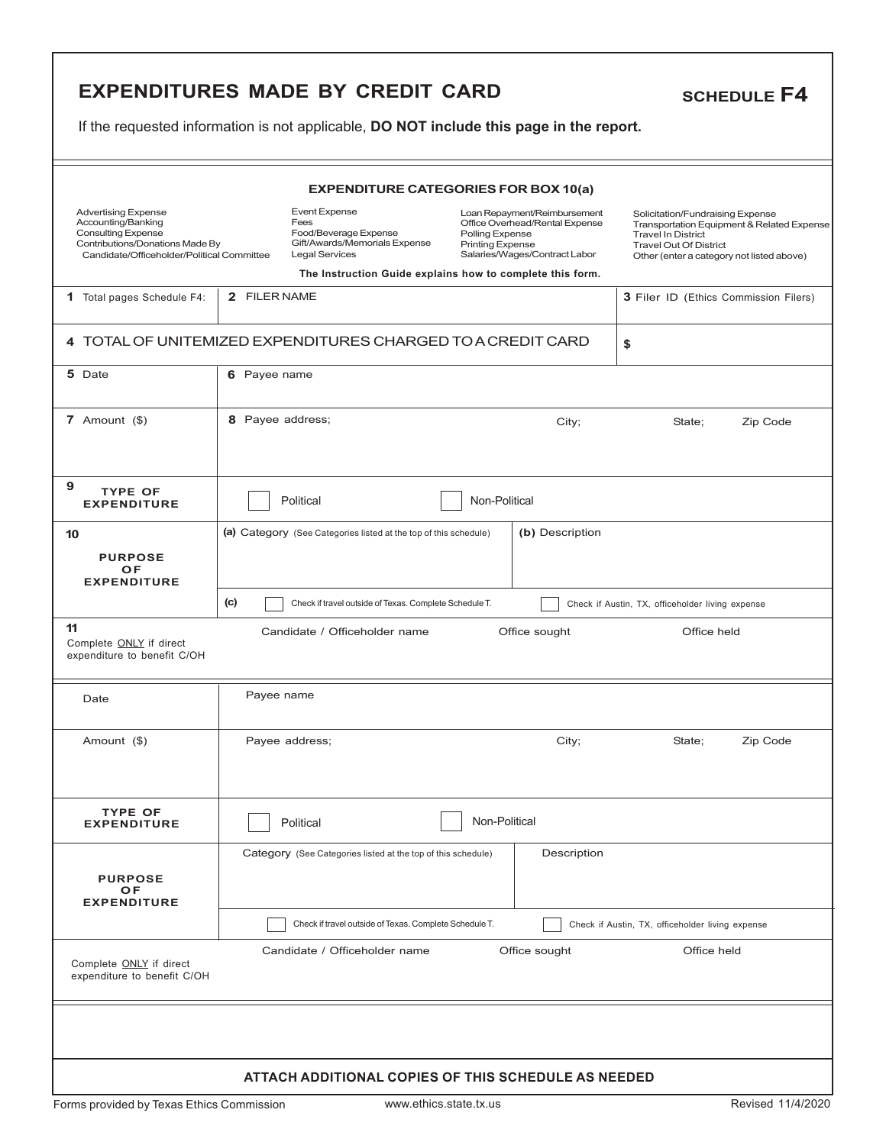## **EXPENDITURES MADE BY CREDIT CARD**

# **SCHEDULE F4**

| <b>EXPENDITURE CATEGORIES FOR BOX 10(a)</b>                                                                                                                    |                                                                                                                                                                              |                                                                                                                                               |                                                                                                                                                                                           |  |  |
|----------------------------------------------------------------------------------------------------------------------------------------------------------------|------------------------------------------------------------------------------------------------------------------------------------------------------------------------------|-----------------------------------------------------------------------------------------------------------------------------------------------|-------------------------------------------------------------------------------------------------------------------------------------------------------------------------------------------|--|--|
| <b>Advertising Expense</b><br>Accounting/Banking<br><b>Consulting Expense</b><br>Contributions/Donations Made By<br>Candidate/Officeholder/Political Committee | <b>Event Expense</b><br>Fees<br>Food/Beverage Expense<br>Gift/Awards/Memorials Expense<br><b>Legal Services</b><br>The Instruction Guide explains how to complete this form. | Loan Repayment/Reimbursement<br>Office Overhead/Rental Expense<br>Polling Expense<br><b>Printing Expense</b><br>Salaries/Wages/Contract Labor | Solicitation/Fundraising Expense<br>Transportation Equipment & Related Expense<br><b>Travel In District</b><br><b>Travel Out Of District</b><br>Other (enter a category not listed above) |  |  |
| <b>1</b> Total pages Schedule F4:                                                                                                                              | 2 FILER NAME                                                                                                                                                                 |                                                                                                                                               | <b>3 Filer ID (Ethics Commission Filers)</b>                                                                                                                                              |  |  |
|                                                                                                                                                                |                                                                                                                                                                              |                                                                                                                                               |                                                                                                                                                                                           |  |  |
|                                                                                                                                                                | 4 TOTAL OF UNITEMIZED EXPENDITURES CHARGED TO A CREDIT CARD                                                                                                                  |                                                                                                                                               | \$                                                                                                                                                                                        |  |  |
| 5 Date                                                                                                                                                         | 6 Payee name                                                                                                                                                                 |                                                                                                                                               |                                                                                                                                                                                           |  |  |
| 7 Amount $(\$)$                                                                                                                                                | 8 Payee address;                                                                                                                                                             | City;                                                                                                                                         | Zip Code<br>State;                                                                                                                                                                        |  |  |
| 9<br><b>TYPE OF</b><br><b>EXPENDITURE</b>                                                                                                                      | Political                                                                                                                                                                    | Non-Political                                                                                                                                 |                                                                                                                                                                                           |  |  |
| 10                                                                                                                                                             | (a) Category (See Categories listed at the top of this schedule)                                                                                                             | (b) Description                                                                                                                               |                                                                                                                                                                                           |  |  |
| <b>PURPOSE</b>                                                                                                                                                 |                                                                                                                                                                              |                                                                                                                                               |                                                                                                                                                                                           |  |  |
| <b>OF</b><br><b>EXPENDITURE</b>                                                                                                                                |                                                                                                                                                                              |                                                                                                                                               |                                                                                                                                                                                           |  |  |
|                                                                                                                                                                | (c)<br>Check if travel outside of Texas. Complete Schedule T.                                                                                                                |                                                                                                                                               | Check if Austin, TX, officeholder living expense                                                                                                                                          |  |  |
| 11<br>Complete ONLY if direct<br>expenditure to benefit C/OH                                                                                                   | Candidate / Officeholder name                                                                                                                                                | Office sought                                                                                                                                 | Office held                                                                                                                                                                               |  |  |
| Date                                                                                                                                                           | Payee name                                                                                                                                                                   |                                                                                                                                               |                                                                                                                                                                                           |  |  |
| Amount (\$)                                                                                                                                                    | Payee address;                                                                                                                                                               | City;                                                                                                                                         | Zip Code<br>State;                                                                                                                                                                        |  |  |
| TYPE OF<br><b>EXPENDITURE</b>                                                                                                                                  | Political                                                                                                                                                                    | Non-Political                                                                                                                                 |                                                                                                                                                                                           |  |  |
| <b>PURPOSE</b><br>OF                                                                                                                                           | Category (See Categories listed at the top of this schedule)                                                                                                                 | Description                                                                                                                                   |                                                                                                                                                                                           |  |  |
| <b>EXPENDITURE</b>                                                                                                                                             |                                                                                                                                                                              |                                                                                                                                               |                                                                                                                                                                                           |  |  |
|                                                                                                                                                                | Check if travel outside of Texas. Complete Schedule T.                                                                                                                       |                                                                                                                                               | Check if Austin, TX, officeholder living expense                                                                                                                                          |  |  |
| Complete ONLY if direct<br>expenditure to benefit C/OH                                                                                                         | Candidate / Officeholder name                                                                                                                                                | Office sought                                                                                                                                 | Office held                                                                                                                                                                               |  |  |
|                                                                                                                                                                |                                                                                                                                                                              |                                                                                                                                               |                                                                                                                                                                                           |  |  |
|                                                                                                                                                                | ATTACH ADDITIONAL COPIES OF THIS SCHEDULE AS NEEDED                                                                                                                          |                                                                                                                                               |                                                                                                                                                                                           |  |  |
| Forms provided by Texas Ethics Commission                                                                                                                      | www.ethics.state.tx.us                                                                                                                                                       |                                                                                                                                               | Revised 11/4/2020                                                                                                                                                                         |  |  |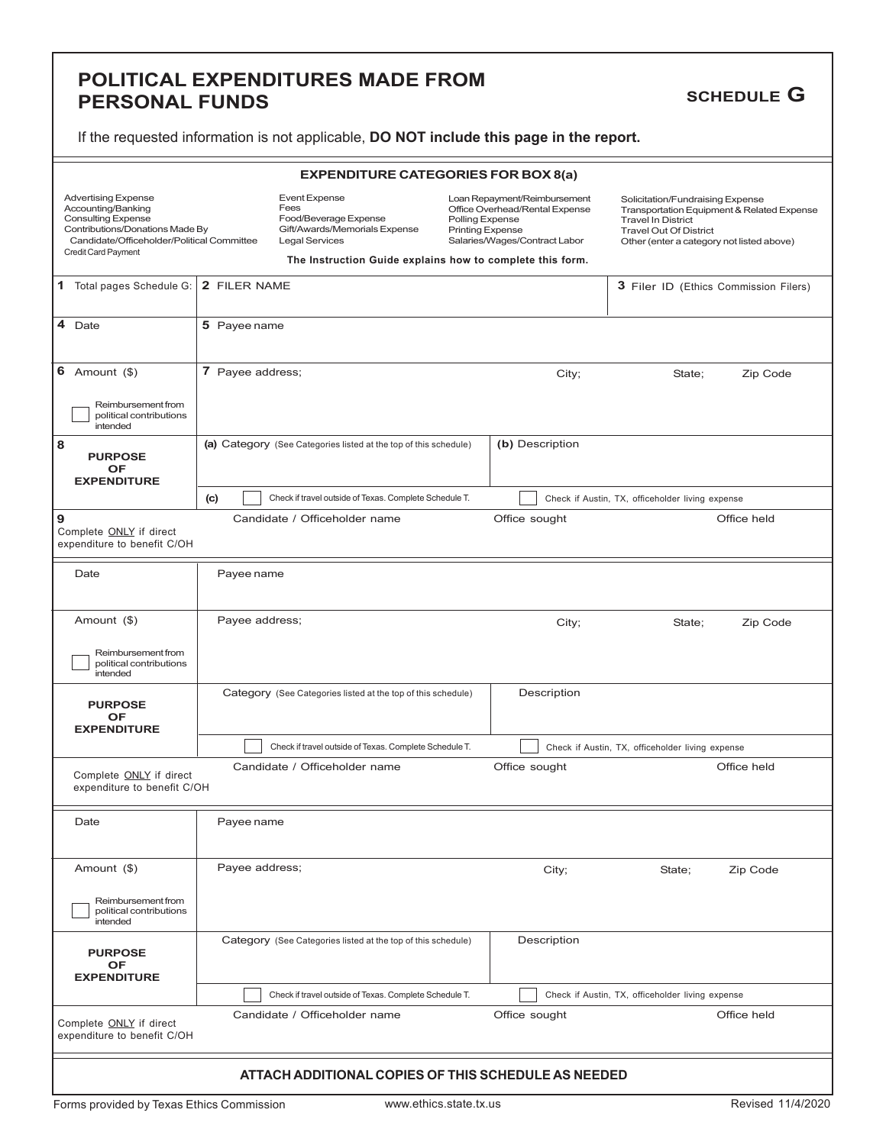#### **POLITICAL EXPENDITURES MADE FROM PERSONAL FUNDS**

### **SCHEDULE G**

| <b>EXPENDITURE CATEGORIES FOR BOX 8(a)</b>                                                                                                                                            |                                                     |                                                                                                                 |                                                                                                                                               |  |                                                                                                |                                                                                         |                                       |
|---------------------------------------------------------------------------------------------------------------------------------------------------------------------------------------|-----------------------------------------------------|-----------------------------------------------------------------------------------------------------------------|-----------------------------------------------------------------------------------------------------------------------------------------------|--|------------------------------------------------------------------------------------------------|-----------------------------------------------------------------------------------------|---------------------------------------|
| <b>Advertising Expense</b><br>Accounting/Banking<br><b>Consulting Expense</b><br>Contributions/Donations Made By<br>Candidate/Officeholder/Political Committee<br>Credit Card Payment |                                                     | <b>Event Expense</b><br>Fees<br>Food/Beverage Expense<br>Gift/Awards/Memorials Expense<br><b>Legal Services</b> | Loan Repayment/Reimbursement<br>Office Overhead/Rental Expense<br>Polling Expense<br><b>Printing Expense</b><br>Salaries/Wages/Contract Labor |  | Solicitation/Fundraising Expense<br><b>Travel In District</b><br><b>Travel Out Of District</b> | Transportation Equipment & Related Expense<br>Other (enter a category not listed above) |                                       |
|                                                                                                                                                                                       |                                                     | The Instruction Guide explains how to complete this form.                                                       |                                                                                                                                               |  |                                                                                                |                                                                                         |                                       |
| 1 Total pages Schedule G:                                                                                                                                                             | 2 FILER NAME                                        |                                                                                                                 |                                                                                                                                               |  |                                                                                                |                                                                                         | 3 Filer ID (Ethics Commission Filers) |
| 4<br>Date                                                                                                                                                                             | 5 Payee name                                        |                                                                                                                 |                                                                                                                                               |  |                                                                                                |                                                                                         |                                       |
| 6 Amount $(\$)$<br>Reimbursement from<br>political contributions<br>intended                                                                                                          | 7 Payee address;                                    |                                                                                                                 |                                                                                                                                               |  | City;                                                                                          | State;                                                                                  | Zip Code                              |
| 8<br><b>PURPOSE</b><br>OF<br><b>EXPENDITURE</b>                                                                                                                                       |                                                     | (a) Category (See Categories listed at the top of this schedule)                                                |                                                                                                                                               |  | (b) Description                                                                                |                                                                                         |                                       |
|                                                                                                                                                                                       | (c)                                                 | Check if travel outside of Texas. Complete Schedule T.                                                          |                                                                                                                                               |  |                                                                                                | Check if Austin, TX, officeholder living expense                                        |                                       |
| و ا<br>Complete ONLY if direct<br>expenditure to benefit C/OH                                                                                                                         |                                                     | Candidate / Officeholder name                                                                                   |                                                                                                                                               |  | Office sought                                                                                  |                                                                                         | Office held                           |
| Date                                                                                                                                                                                  | Payee name                                          |                                                                                                                 |                                                                                                                                               |  |                                                                                                |                                                                                         |                                       |
| Amount (\$)                                                                                                                                                                           | Payee address;                                      |                                                                                                                 |                                                                                                                                               |  | City;                                                                                          | State;                                                                                  | Zip Code                              |
| Reimbursement from<br>political contributions<br>intended                                                                                                                             |                                                     |                                                                                                                 |                                                                                                                                               |  |                                                                                                |                                                                                         |                                       |
| <b>PURPOSE</b><br>OF<br><b>EXPENDITURE</b>                                                                                                                                            |                                                     | Category (See Categories listed at the top of this schedule)                                                    |                                                                                                                                               |  | Description                                                                                    |                                                                                         |                                       |
|                                                                                                                                                                                       |                                                     | Check if travel outside of Texas. Complete Schedule T.                                                          |                                                                                                                                               |  |                                                                                                | Check if Austin, TX, officeholder living expense                                        |                                       |
| Complete ONLY if direct<br>expenditure to benefit C/OH                                                                                                                                |                                                     | Candidate / Officeholder name                                                                                   |                                                                                                                                               |  | Office sought                                                                                  |                                                                                         | Office held                           |
| Date                                                                                                                                                                                  | Payee name                                          |                                                                                                                 |                                                                                                                                               |  |                                                                                                |                                                                                         |                                       |
| Amount (\$)                                                                                                                                                                           | Payee address;                                      |                                                                                                                 |                                                                                                                                               |  | City;                                                                                          | State;                                                                                  | Zip Code                              |
| Reimbursement from<br>political contributions<br>intended                                                                                                                             |                                                     |                                                                                                                 |                                                                                                                                               |  |                                                                                                |                                                                                         |                                       |
| <b>PURPOSE</b><br>OF<br><b>EXPENDITURE</b>                                                                                                                                            |                                                     | Category (See Categories listed at the top of this schedule)                                                    |                                                                                                                                               |  | Description                                                                                    |                                                                                         |                                       |
|                                                                                                                                                                                       |                                                     | Check if travel outside of Texas. Complete Schedule T.                                                          |                                                                                                                                               |  |                                                                                                | Check if Austin, TX, officeholder living expense                                        |                                       |
| Complete ONLY if direct<br>expenditure to benefit C/OH                                                                                                                                |                                                     | Candidate / Officeholder name                                                                                   |                                                                                                                                               |  | Office sought                                                                                  |                                                                                         | Office held                           |
|                                                                                                                                                                                       | ATTACH ADDITIONAL COPIES OF THIS SCHEDULE AS NEEDED |                                                                                                                 |                                                                                                                                               |  |                                                                                                |                                                                                         |                                       |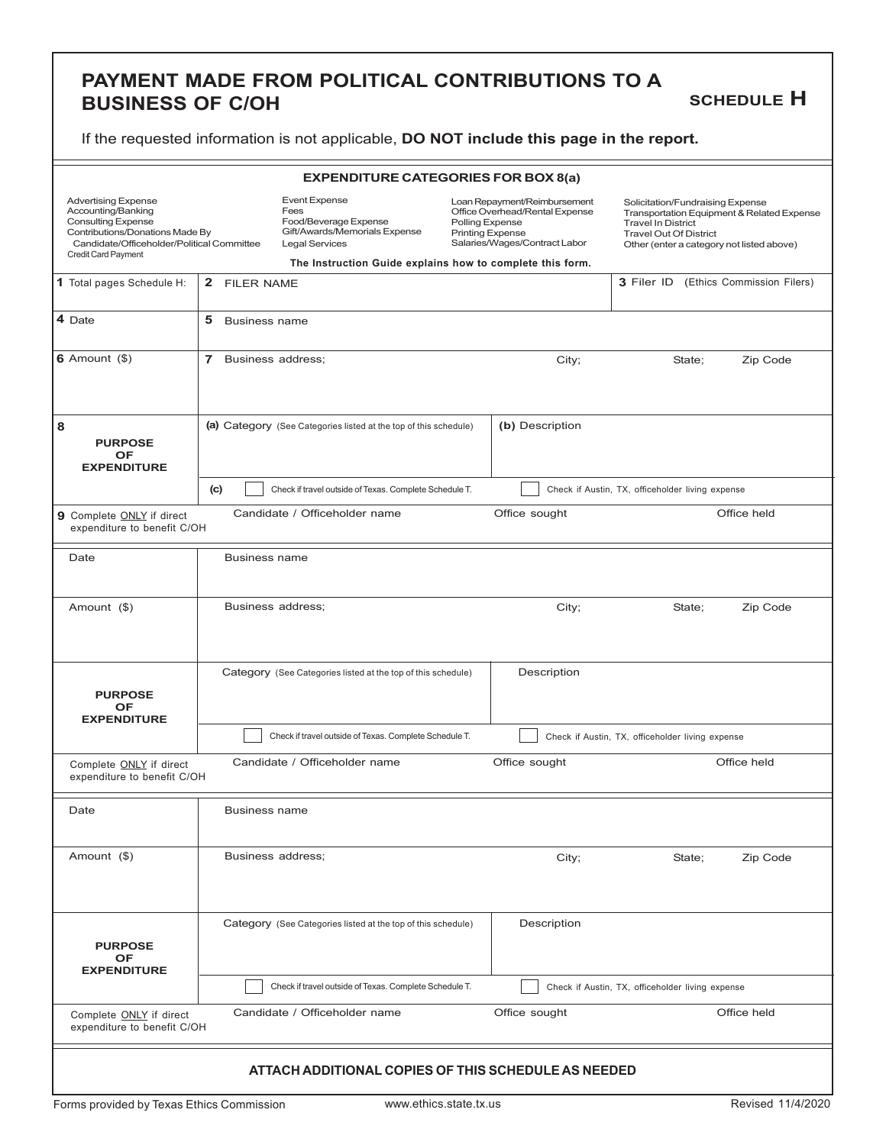#### **PAYMENT MADE FROM POLITICAL CONTRIBUTIONS TO A BUSINESS OF C/OH**

#### **SCHEDULE H**

If the requested information is not applicable, **DO NOT include this page in the report.**

| <b>EXPENDITURE CATEGORIES FOR BOX 8(a)</b>                                                                                                                                            |                           |                                                                                                                                                                              |                                            |                                                                                                 |                                                                                                                                             |                                            |  |
|---------------------------------------------------------------------------------------------------------------------------------------------------------------------------------------|---------------------------|------------------------------------------------------------------------------------------------------------------------------------------------------------------------------|--------------------------------------------|-------------------------------------------------------------------------------------------------|---------------------------------------------------------------------------------------------------------------------------------------------|--------------------------------------------|--|
| <b>Advertising Expense</b><br>Accounting/Banking<br><b>Consulting Expense</b><br>Contributions/Donations Made By<br>Candidate/Officeholder/Political Committee<br>Credit Card Payment |                           | <b>Event Expense</b><br>Fees<br>Food/Beverage Expense<br>Gift/Awards/Memorials Expense<br><b>Legal Services</b><br>The Instruction Guide explains how to complete this form. | Polling Expense<br><b>Printing Expense</b> | Loan Repayment/Reimbursement<br>Office Overhead/Rental Expense<br>Salaries/Wages/Contract Labor | Solicitation/Fundraising Expense<br><b>Travel In District</b><br><b>Travel Out Of District</b><br>Other (enter a category not listed above) | Transportation Equipment & Related Expense |  |
|                                                                                                                                                                                       |                           |                                                                                                                                                                              |                                            |                                                                                                 |                                                                                                                                             | 3 Filer ID (Ethics Commission Filers)      |  |
| 1 Total pages Schedule H:                                                                                                                                                             | 2 FILER NAME              |                                                                                                                                                                              |                                            |                                                                                                 |                                                                                                                                             |                                            |  |
| 4 Date                                                                                                                                                                                | 5<br><b>Business name</b> |                                                                                                                                                                              |                                            |                                                                                                 |                                                                                                                                             |                                            |  |
| $6$ Amount $(\$)$                                                                                                                                                                     | 7 Business address;       |                                                                                                                                                                              |                                            | City;                                                                                           | State;                                                                                                                                      | Zip Code                                   |  |
| 8<br><b>PURPOSE</b>                                                                                                                                                                   |                           | (a) Category (See Categories listed at the top of this schedule)                                                                                                             |                                            | (b) Description                                                                                 |                                                                                                                                             |                                            |  |
| <b>OF</b><br><b>EXPENDITURE</b>                                                                                                                                                       |                           |                                                                                                                                                                              |                                            |                                                                                                 |                                                                                                                                             |                                            |  |
|                                                                                                                                                                                       | (c)                       | Check if travel outside of Texas. Complete Schedule T.                                                                                                                       |                                            |                                                                                                 | Check if Austin, TX, officeholder living expense                                                                                            |                                            |  |
| 9 Complete ONLY if direct<br>expenditure to benefit C/OH                                                                                                                              |                           | Candidate / Officeholder name                                                                                                                                                |                                            | Office sought                                                                                   |                                                                                                                                             | Office held                                |  |
| Date                                                                                                                                                                                  | <b>Business name</b>      |                                                                                                                                                                              |                                            |                                                                                                 |                                                                                                                                             |                                            |  |
| Amount (\$)                                                                                                                                                                           |                           | Business address;                                                                                                                                                            |                                            | City;                                                                                           | State;                                                                                                                                      | Zip Code                                   |  |
| <b>PURPOSE</b><br>OF<br><b>EXPENDITURE</b>                                                                                                                                            |                           | Category (See Categories listed at the top of this schedule)                                                                                                                 |                                            | Description                                                                                     |                                                                                                                                             |                                            |  |
|                                                                                                                                                                                       |                           | Check if travel outside of Texas. Complete Schedule T.                                                                                                                       |                                            |                                                                                                 | Check if Austin, TX, officeholder living expense                                                                                            |                                            |  |
| Complete ONLY if direct<br>expenditure to benefit C/OH                                                                                                                                |                           | Candidate / Officeholder name                                                                                                                                                |                                            | Office sought                                                                                   |                                                                                                                                             | Office held                                |  |
| Date                                                                                                                                                                                  | <b>Business name</b>      |                                                                                                                                                                              |                                            |                                                                                                 |                                                                                                                                             |                                            |  |
| Amount (\$)                                                                                                                                                                           |                           | Business address;                                                                                                                                                            |                                            | City;                                                                                           | State;                                                                                                                                      | Zip Code                                   |  |
| <b>PURPOSE</b><br>OF<br><b>EXPENDITURE</b>                                                                                                                                            |                           | Category (See Categories listed at the top of this schedule)                                                                                                                 |                                            | Description                                                                                     |                                                                                                                                             |                                            |  |
|                                                                                                                                                                                       |                           | Check if travel outside of Texas. Complete Schedule T.                                                                                                                       |                                            |                                                                                                 | Check if Austin, TX, officeholder living expense                                                                                            |                                            |  |
| Complete <b>ONLY</b> if direct<br>expenditure to benefit C/OH                                                                                                                         |                           | Candidate / Officeholder name                                                                                                                                                |                                            | Office sought                                                                                   |                                                                                                                                             | Office held                                |  |
|                                                                                                                                                                                       |                           | ATTACH ADDITIONAL COPIES OF THIS SCHEDULE AS NEEDED                                                                                                                          |                                            |                                                                                                 |                                                                                                                                             |                                            |  |

Forms provided by Texas Ethics Commission www.ethics.state.tx.us Revised 11/4/2020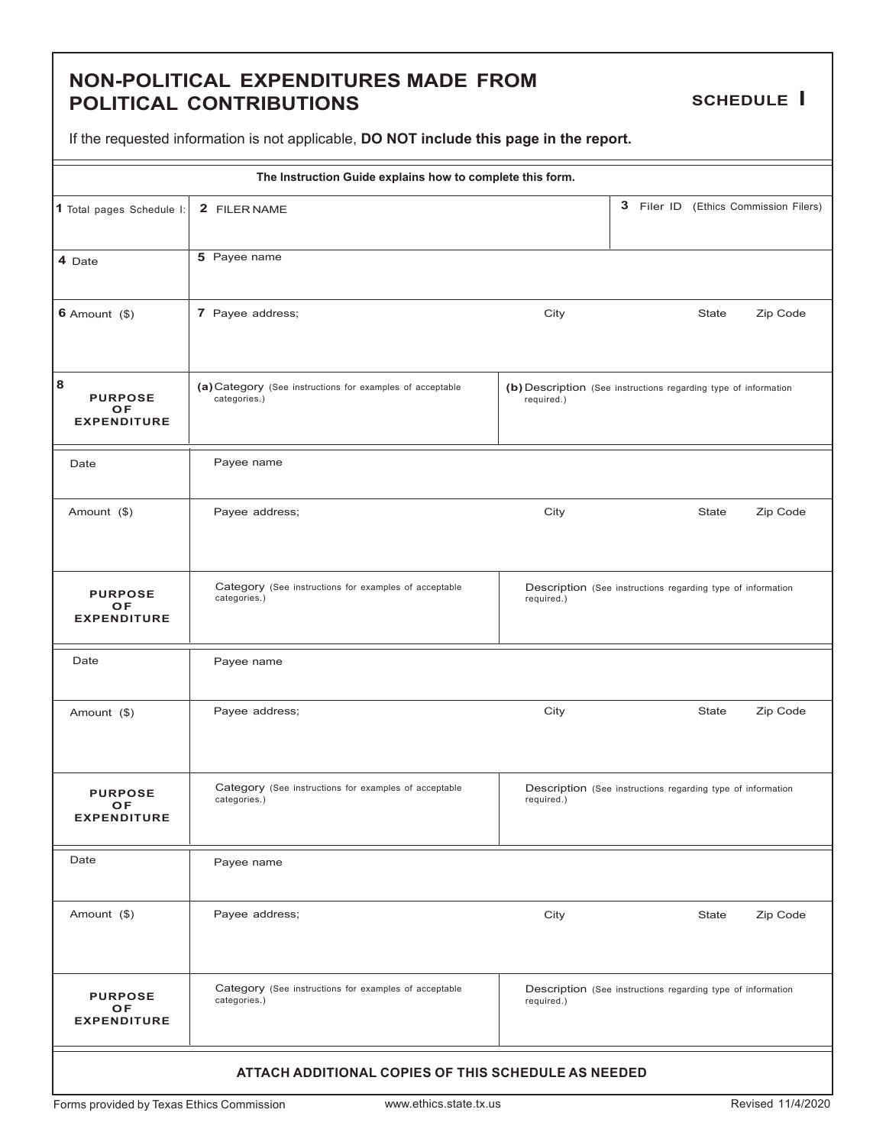#### **NON-POLITICAL EXPENDITURES MADE FROM POLITICAL CONTRIBUTIONS**

**SCHEDULE I**

|                                                 | The Instruction Guide explains how to complete this form.                 |                                                                               |  |              |                                       |  |
|-------------------------------------------------|---------------------------------------------------------------------------|-------------------------------------------------------------------------------|--|--------------|---------------------------------------|--|
| 1 Total pages Schedule I:                       | 2 FILER NAME                                                              |                                                                               |  |              | 3 Filer ID (Ethics Commission Filers) |  |
| 4 Date                                          | 5 Payee name                                                              |                                                                               |  |              |                                       |  |
| $6$ Amount $(\$)$                               | 7 Payee address;                                                          | City                                                                          |  | <b>State</b> | Zip Code                              |  |
| 8<br><b>PURPOSE</b><br>OF<br><b>EXPENDITURE</b> | (a) Category (See instructions for examples of acceptable<br>categories.) | (b) Description (See instructions regarding type of information<br>required.) |  |              |                                       |  |
| Date                                            | Payee name                                                                |                                                                               |  |              |                                       |  |
| Amount (\$)                                     | Payee address;                                                            | City                                                                          |  | <b>State</b> | Zip Code                              |  |
| <b>PURPOSE</b><br>ОF<br><b>EXPENDITURE</b>      | Category (See instructions for examples of acceptable<br>categories.)     | Description (See instructions regarding type of information<br>required.)     |  |              |                                       |  |
| Date                                            | Payee name                                                                |                                                                               |  |              |                                       |  |
| Amount (\$)                                     | Payee address;                                                            | City                                                                          |  | State        | Zip Code                              |  |
| <b>PURPOSE</b><br>ОF<br><b>EXPENDITURE</b>      | Category (See instructions for examples of acceptable<br>categories.)     | Description (See instructions regarding type of information<br>required.)     |  |              |                                       |  |
| Date                                            | Payee name                                                                |                                                                               |  |              |                                       |  |
| Amount (\$)                                     | Payee address;                                                            | City                                                                          |  | State        | Zip Code                              |  |
| <b>PURPOSE</b><br>OF<br><b>EXPENDITURE</b>      | Category (See instructions for examples of acceptable<br>categories.)     | Description (See instructions regarding type of information<br>required.)     |  |              |                                       |  |
|                                                 | ATTACH ADDITIONAL COPIES OF THIS SCHEDULE AS NEEDED                       |                                                                               |  |              |                                       |  |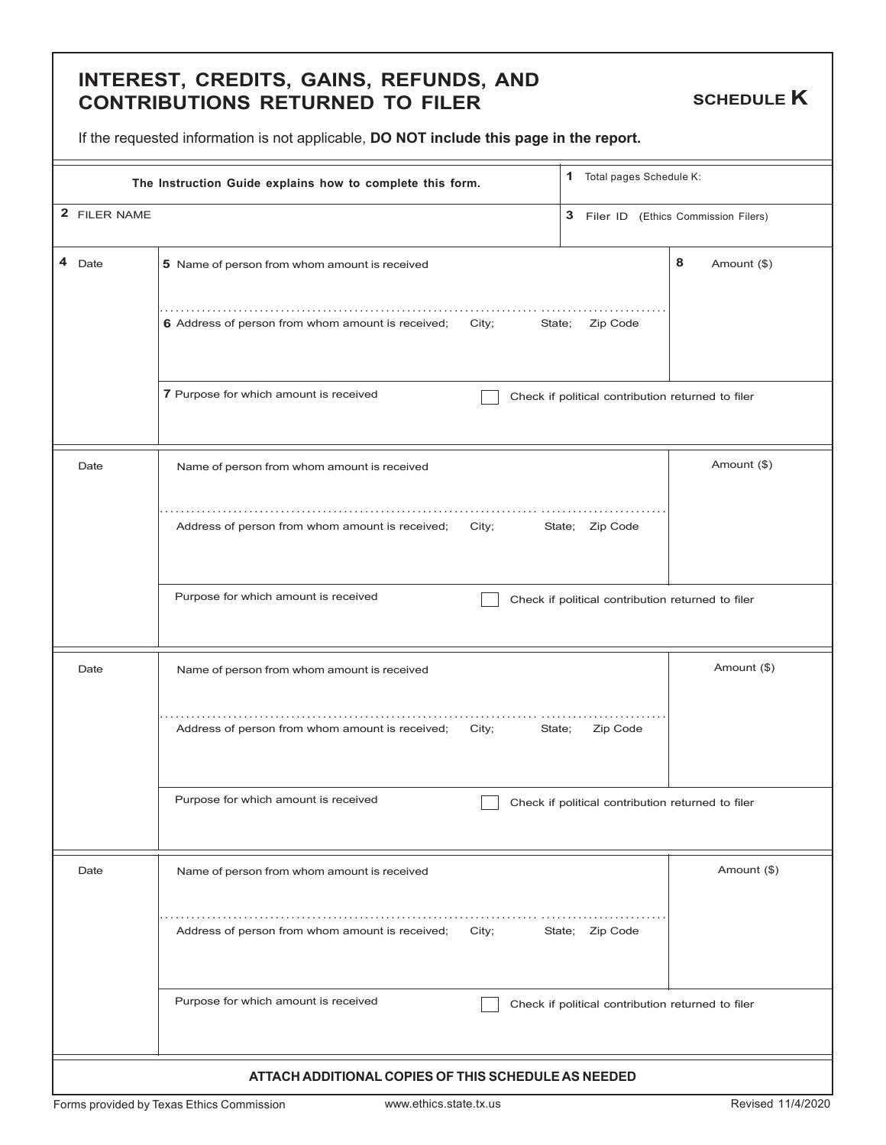#### **INTEREST, CREDITS, GAINS, REFUNDS, AND CONTRIBUTIONS RETURNED TO FILER**

**SCHEDULE K**

If the requested information is not applicable, **DO NOT include this page in the report.**

| The Instruction Guide explains how to complete this form. | 1 Total pages Schedule K:                                            |                                                   |                  |
|-----------------------------------------------------------|----------------------------------------------------------------------|---------------------------------------------------|------------------|
| 2 FILER NAME<br>3 Filer ID (Ethics Commission Filers)     |                                                                      |                                                   |                  |
| 4 Date                                                    | 5 Name of person from whom amount is received                        |                                                   | 8<br>Amount (\$) |
|                                                           | 6 Address of person from whom amount is received;<br>City;<br>State; | Zip Code                                          |                  |
|                                                           | 7 Purpose for which amount is received                               | Check if political contribution returned to filer |                  |
| Date                                                      | Name of person from whom amount is received                          |                                                   | Amount (\$)      |
|                                                           | Address of person from whom amount is received;<br>City;             | State; Zip Code                                   |                  |
|                                                           | Purpose for which amount is received                                 | Check if political contribution returned to filer |                  |
| Date                                                      | Name of person from whom amount is received                          |                                                   | Amount (\$)      |
|                                                           | Address of person from whom amount is received;<br>City;<br>State;   | Zip Code                                          |                  |
|                                                           | Purpose for which amount is received                                 | Check if political contribution returned to filer |                  |
| Date                                                      | Name of person from whom amount is received                          |                                                   | Amount (\$)      |
|                                                           | Address of person from whom amount is received;<br>City;             | State; Zip Code                                   |                  |
|                                                           | Purpose for which amount is received                                 | Check if political contribution returned to filer |                  |
|                                                           | ATTACH ADDITIONAL COPIES OF THIS SCHEDULE AS NEEDED                  |                                                   |                  |

Forms provided by Texas Ethics Commission www.ethics.state.tx.us example and the Revised 11/4/2020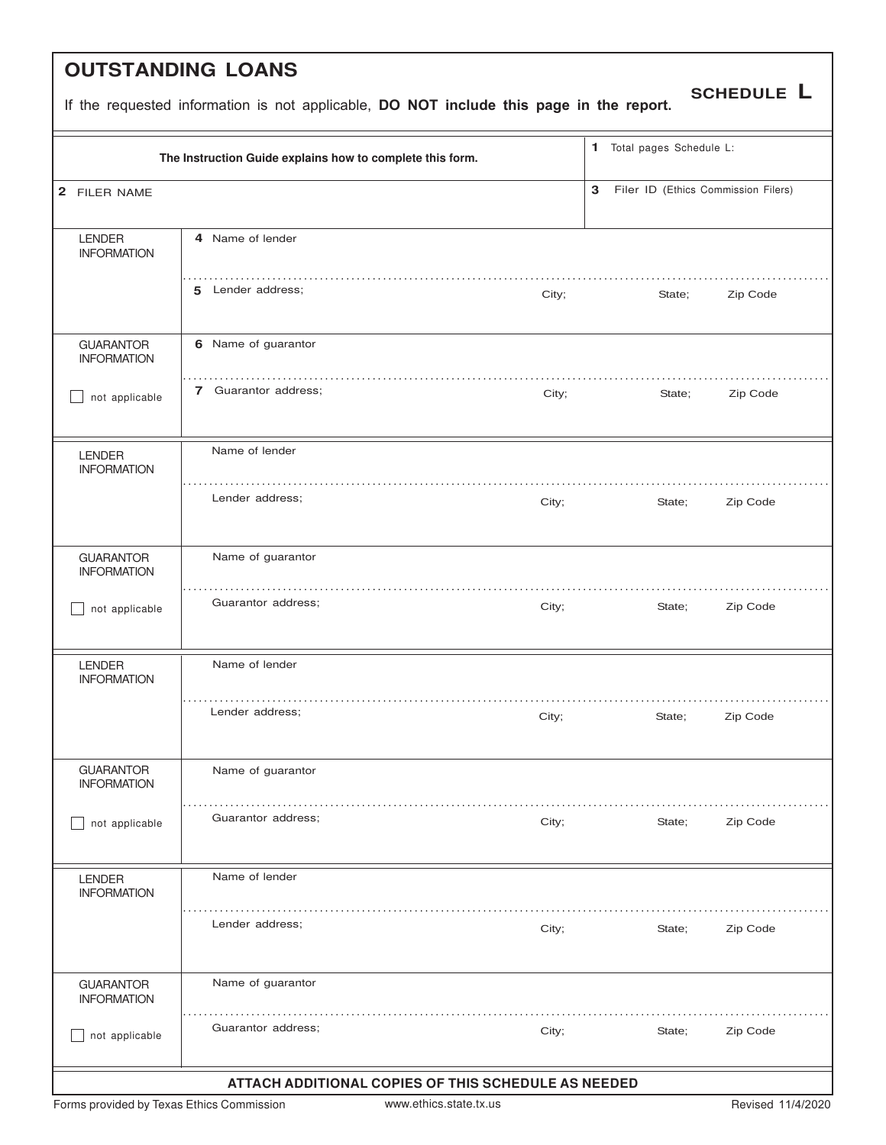# **OUTSTANDING LOANS**

|  | If the requested information is not applicable, DO NOT include this page in the report. |
|--|-----------------------------------------------------------------------------------------|
|--|-----------------------------------------------------------------------------------------|

|                                        | The Instruction Guide explains how to complete this form. |       | 1 Total pages Schedule L:           |          |
|----------------------------------------|-----------------------------------------------------------|-------|-------------------------------------|----------|
| 2 FILER NAME                           |                                                           | 3     | Filer ID (Ethics Commission Filers) |          |
| <b>LENDER</b><br><b>INFORMATION</b>    | 4 Name of lender                                          |       |                                     |          |
|                                        | 5 Lender address;                                         | City; | State;                              | Zip Code |
| <b>GUARANTOR</b><br><b>INFORMATION</b> | 6 Name of guarantor                                       |       |                                     |          |
| not applicable                         | 7 Guarantor address;                                      | City; | State;                              | Zip Code |
| <b>LENDER</b><br><b>INFORMATION</b>    | Name of lender                                            |       |                                     |          |
|                                        | Lender address;                                           | City; | State;                              | Zip Code |
| <b>GUARANTOR</b><br><b>INFORMATION</b> | Name of guarantor                                         |       |                                     |          |
| not applicable                         | Guarantor address;                                        | City; | State;                              | Zip Code |
| <b>LENDER</b><br><b>INFORMATION</b>    | Name of lender                                            |       |                                     |          |
|                                        | Lender address;                                           | City; | State;                              | Zip Code |
| <b>GUARANTOR</b><br><b>INFORMATION</b> | Name of guarantor                                         |       |                                     |          |
| not applicable                         | Guarantor address:                                        | City; | State;                              | Zip Code |
| <b>LENDER</b><br><b>INFORMATION</b>    | Name of lender                                            |       |                                     |          |
|                                        | Lender address;                                           | City; | State;                              | Zip Code |
| <b>GUARANTOR</b><br><b>INFORMATION</b> | Name of guarantor                                         |       |                                     |          |
| not applicable                         | Guarantor address;                                        | City; | State;                              | Zip Code |

**SCHEDULE L**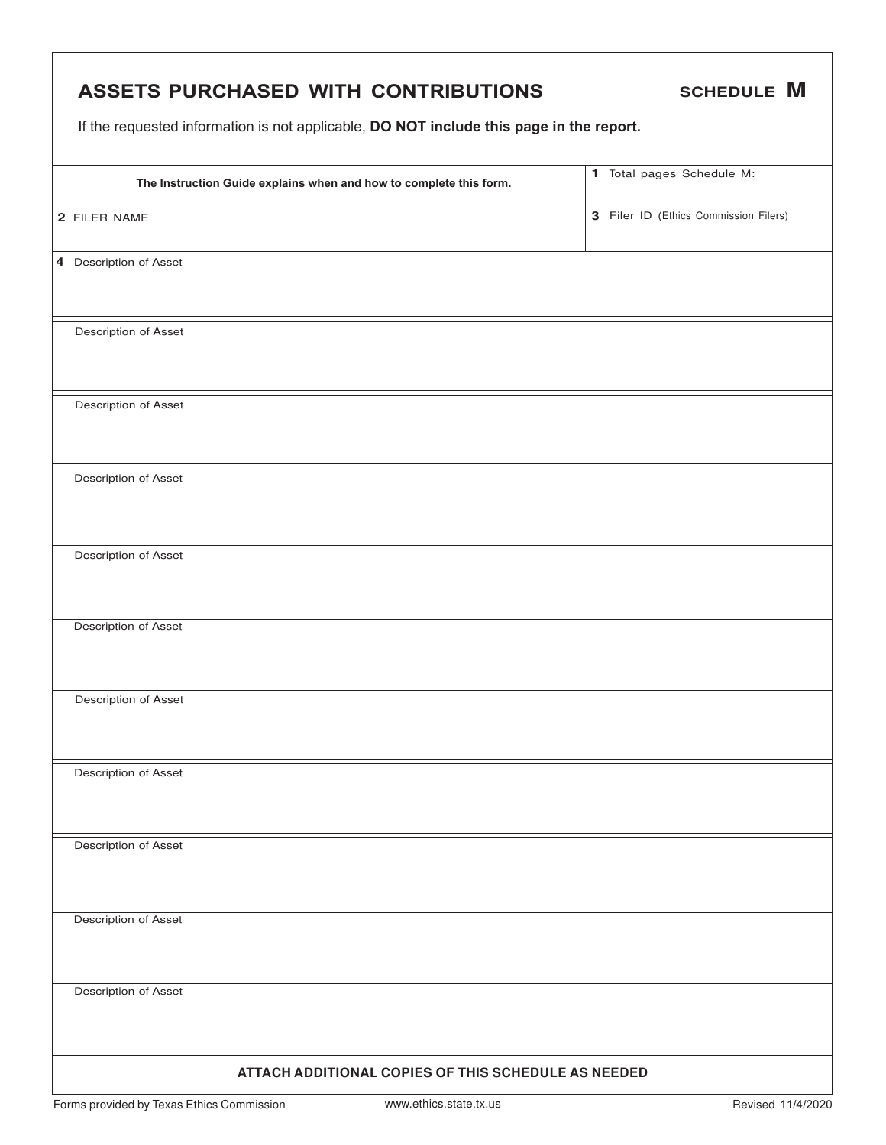| ASSETS PURCHASED WITH CONTRIBUTIONS                                                     | <b>SCHEDULE M</b>                     |
|-----------------------------------------------------------------------------------------|---------------------------------------|
| If the requested information is not applicable, DO NOT include this page in the report. |                                       |
| The Instruction Guide explains when and how to complete this form.                      | 1 Total pages Schedule M:             |
| 2 FILER NAME                                                                            | 3 Filer ID (Ethics Commission Filers) |
| 4 Description of Asset                                                                  |                                       |
| Description of Asset                                                                    |                                       |
| Description of Asset                                                                    |                                       |
| Description of Asset                                                                    |                                       |
| Description of Asset                                                                    |                                       |
| Description of Asset                                                                    |                                       |
| Description of Asset                                                                    |                                       |
| Description of Asset                                                                    |                                       |
| Description of Asset                                                                    |                                       |
| Description of Asset                                                                    |                                       |
| Description of Asset                                                                    |                                       |
| ATTACH ADDITIONAL COPIES OF THIS SCHEDULE AS NEEDED                                     |                                       |

Г

٦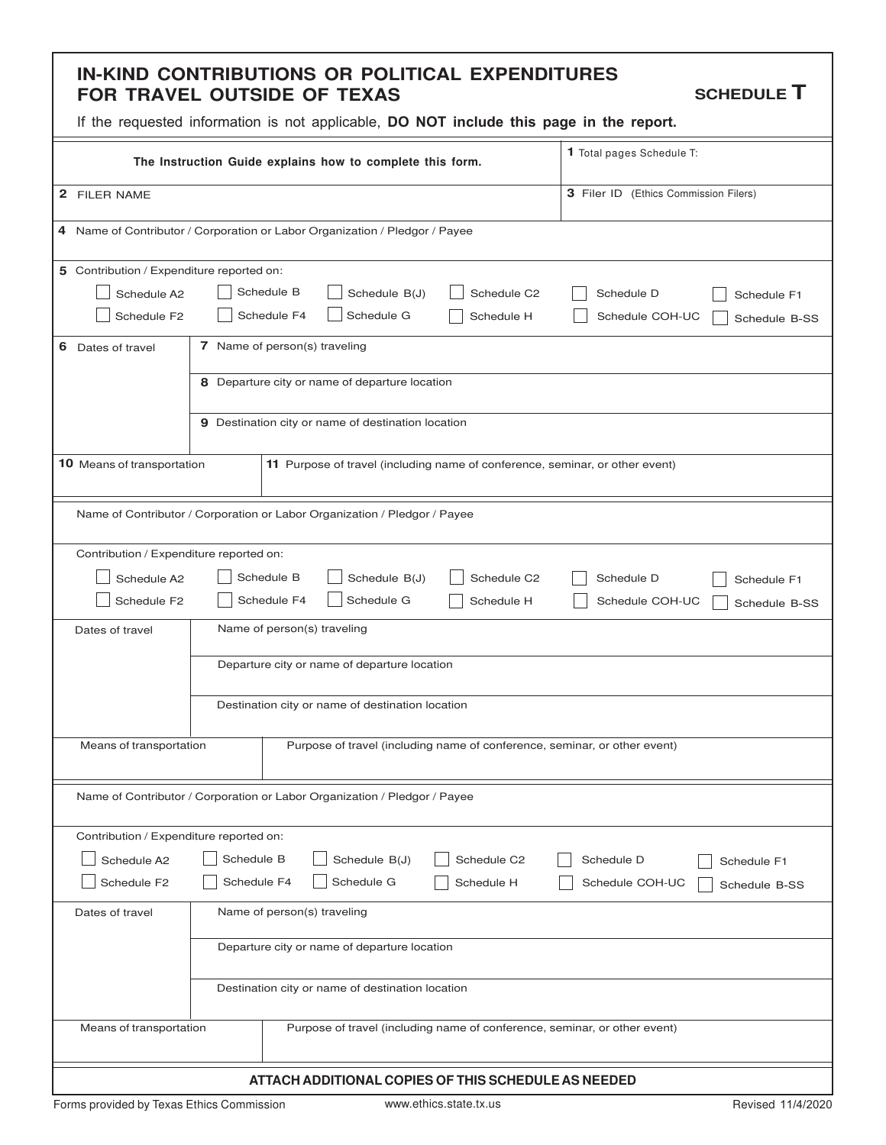#### **IN-KIND CONTRIBUTIONS OR POLITICAL EXPENDITURES FOR TRAVEL OUTSIDE OF TEXAS**

**SCHEDULE T**

| The Instruction Guide explains how to complete this form.                                    | 1 Total pages Schedule T:                                                                 |                                                                                            |  |  |  |
|----------------------------------------------------------------------------------------------|-------------------------------------------------------------------------------------------|--------------------------------------------------------------------------------------------|--|--|--|
| 2 FILER NAME                                                                                 |                                                                                           |                                                                                            |  |  |  |
|                                                                                              | 4 Name of Contributor / Corporation or Labor Organization / Pledgor / Payee               |                                                                                            |  |  |  |
| 5 Contribution / Expenditure reported on:<br>Schedule A2<br>Schedule F2<br>6 Dates of travel | Schedule B<br>Schedule B(J)<br>Schedule F4<br>Schedule G<br>7 Name of person(s) traveling | Schedule C2<br>Schedule D<br>Schedule F1<br>Schedule H<br>Schedule COH-UC<br>Schedule B-SS |  |  |  |
|                                                                                              | 8 Departure city or name of departure location                                            |                                                                                            |  |  |  |
|                                                                                              | 9 Destination city or name of destination location                                        |                                                                                            |  |  |  |
| 10 Means of transportation                                                                   |                                                                                           | 11 Purpose of travel (including name of conference, seminar, or other event)               |  |  |  |
|                                                                                              | Name of Contributor / Corporation or Labor Organization / Pledgor / Payee                 |                                                                                            |  |  |  |
| Contribution / Expenditure reported on:                                                      |                                                                                           |                                                                                            |  |  |  |
| Schedule A2                                                                                  | Schedule B<br>Schedule B(J)                                                               | Schedule C2<br>Schedule D<br>Schedule F1                                                   |  |  |  |
| Schedule F2                                                                                  | Schedule F4<br>Schedule G                                                                 | Schedule H<br>Schedule COH-UC<br>Schedule B-SS                                             |  |  |  |
| Dates of travel                                                                              | Name of person(s) traveling                                                               |                                                                                            |  |  |  |
|                                                                                              | Departure city or name of departure location                                              |                                                                                            |  |  |  |
|                                                                                              | Destination city or name of destination location                                          |                                                                                            |  |  |  |
| Means of transportation                                                                      |                                                                                           | Purpose of travel (including name of conference, seminar, or other event)                  |  |  |  |
|                                                                                              | Name of Contributor / Corporation or Labor Organization / Pledgor / Payee                 |                                                                                            |  |  |  |
| Contribution / Expenditure reported on:                                                      |                                                                                           |                                                                                            |  |  |  |
| Schedule A2                                                                                  | Schedule B<br>Schedule B(J)                                                               | Schedule C2<br>Schedule D<br>Schedule F1                                                   |  |  |  |
| Schedule F2                                                                                  | Schedule G<br>Schedule F4                                                                 | Schedule H<br>Schedule COH-UC<br>Schedule B-SS                                             |  |  |  |
| Dates of travel                                                                              | Name of person(s) traveling                                                               |                                                                                            |  |  |  |
|                                                                                              | Departure city or name of departure location                                              |                                                                                            |  |  |  |
|                                                                                              | Destination city or name of destination location                                          |                                                                                            |  |  |  |
| Means of transportation                                                                      |                                                                                           | Purpose of travel (including name of conference, seminar, or other event)                  |  |  |  |
|                                                                                              | ATTACH ADDITIONAL COPIES OF THIS SCHEDULE AS NEEDED                                       |                                                                                            |  |  |  |